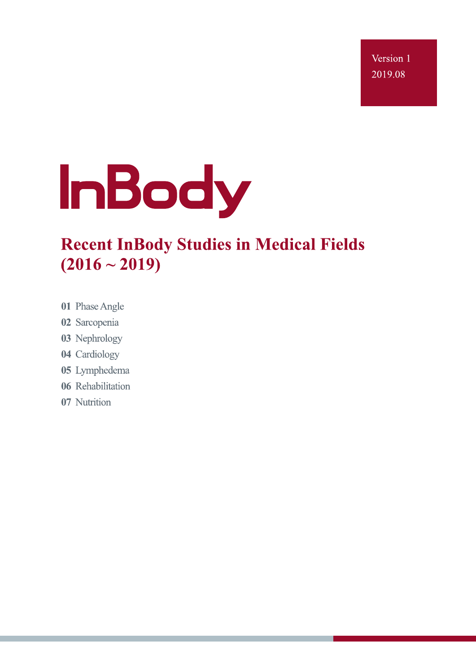Version 1 2019.08



# **Recent InBody Studies in Medical Fields**  $(2016 \sim 2019)$

- 01 Phase Angle
- 02 Sarcopenia
- 03 Nephrology
- 04 Cardiology
- 05 Lymphedema
- 06 Rehabilitation
- 07 Nutrition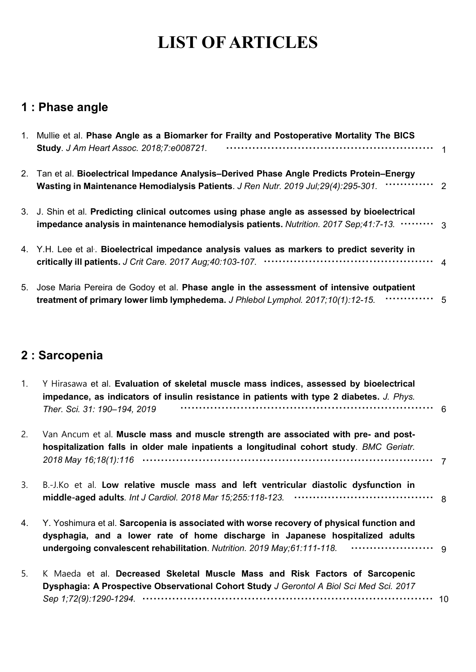## **1 : Phase angle**

| 1. Mullie et al. Phase Angle as a Biomarker for Frailty and Postoperative Mortality The BICS<br><b>Study. J Am Heart Assoc. 2018;7:e008721.</b>                                           |                |
|-------------------------------------------------------------------------------------------------------------------------------------------------------------------------------------------|----------------|
| 2. Tan et al. Bioelectrical Impedance Analysis–Derived Phase Angle Predicts Protein–Energy<br><br>Wasting in Maintenance Hemodialysis Patients. J Ren Nutr. 2019 Jul;29(4):295-301.       | $\overline{2}$ |
| 3. J. Shin et al. Predicting clinical outcomes using phase angle as assessed by bioelectrical<br>impedance analysis in maintenance hemodialysis patients. Nutrition. 2017 Sep;41:7-13.  3 |                |
| 4. Y.H. Lee et al. Bioelectrical impedance analysis values as markers to predict severity in                                                                                              |                |
| 5. Jose Maria Pereira de Godoy et al. Phase angle in the assessment of intensive outpatient<br>treatment of primary lower limb lymphedema. J Phlebol Lymphol. 2017;10(1):12-15.           | - 5            |

## **2 : Sarcopenia**

| $1_{\cdot}$ | Y Hirasawa et al. Evaluation of skeletal muscle mass indices, assessed by bioelectrical<br>impedance, as indicators of insulin resistance in patients with type 2 diabetes. J. Phys.              |     |  |  |  |  |  |
|-------------|---------------------------------------------------------------------------------------------------------------------------------------------------------------------------------------------------|-----|--|--|--|--|--|
|             | Ther. Sci. 31: 190-194, 2019                                                                                                                                                                      | - 6 |  |  |  |  |  |
| 2.          | Van Ancum et al. Muscle mass and muscle strength are associated with pre- and post-                                                                                                               |     |  |  |  |  |  |
|             | hospitalization falls in older male inpatients a longitudinal cohort study. BMC Geriatr.                                                                                                          |     |  |  |  |  |  |
|             |                                                                                                                                                                                                   |     |  |  |  |  |  |
| 3.          | B.-J.Ko et al. Low relative muscle mass and left ventricular diastolic dysfunction in                                                                                                             |     |  |  |  |  |  |
|             |                                                                                                                                                                                                   |     |  |  |  |  |  |
| 4.          | Y. Yoshimura et al. Sarcopenia is associated with worse recovery of physical function and                                                                                                         |     |  |  |  |  |  |
|             | dysphagia, and a lower rate of home discharge in Japanese hospitalized adults                                                                                                                     |     |  |  |  |  |  |
|             |                                                                                                                                                                                                   |     |  |  |  |  |  |
| 5.          | K Maeda et al. Decreased Skeletal Muscle Mass and Risk Factors of Sarcopenic                                                                                                                      |     |  |  |  |  |  |
|             | Dysphagia: A Prospective Observational Cohort Study J Gerontol A Biol Sci Med Sci. 2017                                                                                                           |     |  |  |  |  |  |
|             | Sep 1;72(9):1290-1294. $\cdots$ $\cdots$ $\cdots$ $\cdots$ $\cdots$ $\cdots$ $\cdots$ $\cdots$ $\cdots$ $\cdots$ $\cdots$ $\cdots$ $\cdots$ $\cdots$ $\cdots$ $\cdots$ $\cdots$ $\cdots$ $\cdots$ |     |  |  |  |  |  |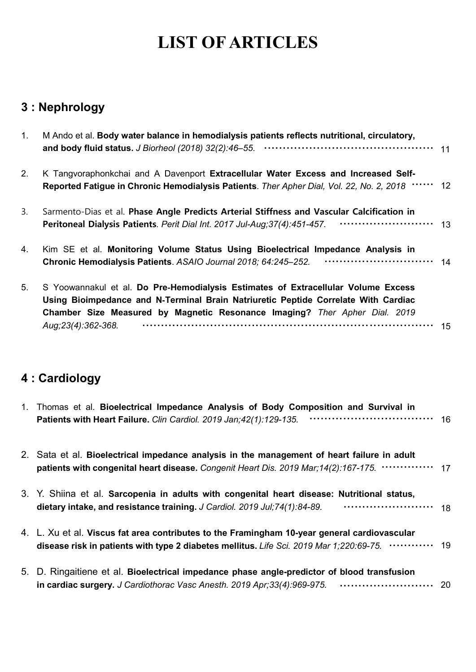## **3 : Nephrology**

| 1. | M Ando et al. Body water balance in hemodialysis patients reflects nutritional, circulatory,                                                                                                                                                                                  | 11 |
|----|-------------------------------------------------------------------------------------------------------------------------------------------------------------------------------------------------------------------------------------------------------------------------------|----|
| 2. | K Tangvoraphonkchai and A Davenport Extracellular Water Excess and Increased Self-<br>Reported Fatigue in Chronic Hemodialysis Patients. Ther Apher Dial, Vol. 22, No. 2, 2018 …… 12                                                                                          |    |
| 3. | Sarmento-Dias et al. Phase Angle Predicts Arterial Stiffness and Vascular Calcification in<br>Peritoneal Dialysis Patients. Perit Dial Int. 2017 Jul-Aug;37(4):451-457.                                                                                                       | 13 |
| 4. | Kim SE et al. Monitoring Volume Status Using Bioelectrical Impedance Analysis in<br><br>Chronic Hemodialysis Patients. ASAIO Journal 2018; 64:245-252.                                                                                                                        | 14 |
| 5. | S Yoowannakul et al. Do Pre-Hemodialysis Estimates of Extracellular Volume Excess<br>Using Bioimpedance and N-Terminal Brain Natriuretic Peptide Correlate With Cardiac<br>Chamber Size Measured by Magnetic Resonance Imaging? Ther Apher Dial. 2019<br>Aug; 23(4): 362-368. | 15 |
|    |                                                                                                                                                                                                                                                                               |    |

## **4 : Cardiology**

| 1. Thomas et al. Bioelectrical Impedance Analysis of Body Composition and Survival in<br><br>Patients with Heart Failure. Clin Cardiol. 2019 Jan; 42(1): 129-135.                           | 16  |
|---------------------------------------------------------------------------------------------------------------------------------------------------------------------------------------------|-----|
| 2. Sata et al. Bioelectrical impedance analysis in the management of heart failure in adult<br>patients with congenital heart disease. Congenit Heart Dis. 2019 Mar;14(2):167-175.  17      |     |
| 3. Y. Shiina et al. Sarcopenia in adults with congenital heart disease: Nutritional status,<br>$\cdots$ 18<br>dietary intake, and resistance training. J Cardiol. 2019 Jul; 74(1):84-89.    |     |
| 4. L. Xu et al. Viscus fat area contributes to the Framingham 10-year general cardiovascular<br>disease risk in patients with type 2 diabetes mellitus. Life Sci. 2019 Mar 1;220:69-75.  19 |     |
| 5. D. Ringaitiene et al. Bioelectrical impedance phase angle-predictor of blood transfusion<br>in cardiac surgery. J Cardiothorac Vasc Anesth. 2019 Apr;33(4):969-975.                      | -20 |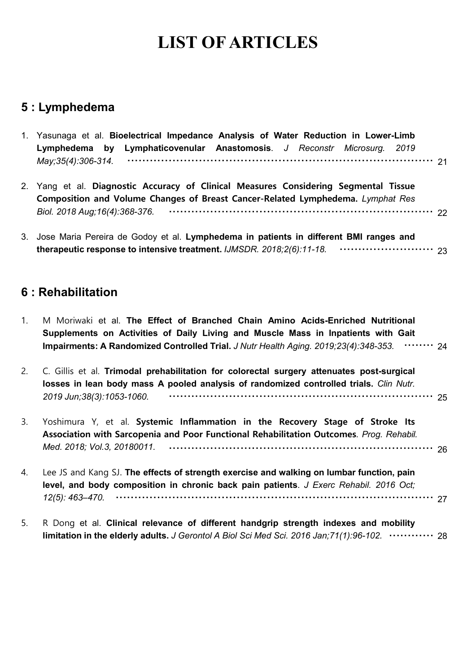### **5 : Lymphedema**

|             | 1. Yasunaga et al. Bioelectrical Impedance Analysis of Water Reduction in Lower-Limb<br>Lymphedema by Lymphaticovenular Anastomosis. J Reconstr Microsurg. 2019                                                                                                  |  |  |  |  |  |  |  |  |  |
|-------------|------------------------------------------------------------------------------------------------------------------------------------------------------------------------------------------------------------------------------------------------------------------|--|--|--|--|--|--|--|--|--|
|             | May; 35(4): 306-314.                                                                                                                                                                                                                                             |  |  |  |  |  |  |  |  |  |
| 2.          | Yang et al. Diagnostic Accuracy of Clinical Measures Considering Segmental Tissue<br>Composition and Volume Changes of Breast Cancer-Related Lymphedema. Lymphat Res                                                                                             |  |  |  |  |  |  |  |  |  |
|             | Biol. 2018 Aug; 16(4): 368-376.                                                                                                                                                                                                                                  |  |  |  |  |  |  |  |  |  |
|             | 3. Jose Maria Pereira de Godoy et al. Lymphedema in patients in different BMI ranges and                                                                                                                                                                         |  |  |  |  |  |  |  |  |  |
|             | 6 : Rehabilitation                                                                                                                                                                                                                                               |  |  |  |  |  |  |  |  |  |
| $1_{\cdot}$ | M Moriwaki et al. The Effect of Branched Chain Amino Acids-Enriched Nutritional<br>Supplements on Activities of Daily Living and Muscle Mass in Inpatients with Gait<br>Impairments: A Randomized Controlled Trial. J Nutr Health Aging. 2019;23(4):348-353.  24 |  |  |  |  |  |  |  |  |  |
| 2.          | C. Gillis et al. Trimodal prehabilitation for colorectal surgery attenuates post-surgical<br>losses in lean body mass A pooled analysis of randomized controlled trials. Clin Nutr.<br>2019 Jun; 38(3): 1053-1060.                                               |  |  |  |  |  |  |  |  |  |

| 3. Yoshimura Y, et al. Systemic Inflammation in the Recovery Stage of Stroke Its        |  |  |  |  |  |
|-----------------------------------------------------------------------------------------|--|--|--|--|--|
| Association with Sarcopenia and Poor Functional Rehabilitation Outcomes. Prog. Rehabil. |  |  |  |  |  |
|                                                                                         |  |  |  |  |  |

| 4. | Lee JS and Kang SJ. The effects of strength exercise and walking on lumbar function, pain |
|----|-------------------------------------------------------------------------------------------|
|    | level, and body composition in chronic back pain patients. J Exerc Rehabil. 2016 Oct;     |
|    |                                                                                           |

5. R Dong et al. **Clinical relevance of different handgrip strength indexes and mobility limitation in the elderly adults.** *J Gerontol A Biol Sci Med Sci. 2016 Jan;71(1):96-102.* ∙∙∙∙∙∙∙∙∙∙∙∙ <sup>28</sup>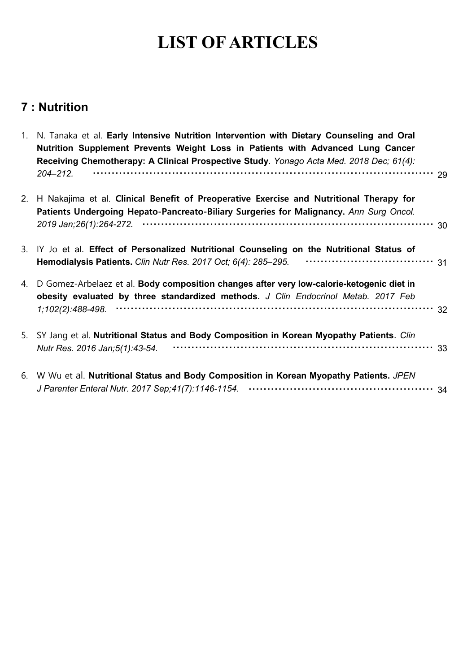## **7 : Nutrition**

| $1_{\cdot}$ | N. Tanaka et al. Early Intensive Nutrition Intervention with Dietary Counseling and Oral<br>Nutrition Supplement Prevents Weight Loss in Patients with Advanced Lung Cancer<br>Receiving Chemotherapy: A Clinical Prospective Study. Yonago Acta Med. 2018 Dec; 61(4):<br>$204 - 212.$ | 29 |
|-------------|----------------------------------------------------------------------------------------------------------------------------------------------------------------------------------------------------------------------------------------------------------------------------------------|----|
|             |                                                                                                                                                                                                                                                                                        |    |
| 2.          | H Nakajima et al. Clinical Benefit of Preoperative Exercise and Nutritional Therapy for<br>Patients Undergoing Hepato-Pancreato-Biliary Surgeries for Malignancy. Ann Surg Oncol.                                                                                                      |    |
|             |                                                                                                                                                                                                                                                                                        |    |
|             | 3. IY Jo et al. Effect of Personalized Nutritional Counseling on the Nutritional Status of<br>Hemodialysis Patients. Clin Nutr Res. 2017 Oct; 6(4): 285-295. •••••••••••••••••••••••••••••••••• 31                                                                                     |    |
| 4.          | D Gomez-Arbelaez et al. Body composition changes after very low-calorie-ketogenic diet in<br>obesity evaluated by three standardized methods. J Clin Endocrinol Metab. 2017 Feb                                                                                                        |    |
|             |                                                                                                                                                                                                                                                                                        |    |
|             | 5. SY Jang et al. Nutritional Status and Body Composition in Korean Myopathy Patients. Clin<br>Nutr Res. 2016 Jan; 5(1): 43-54.                                                                                                                                                        |    |
|             | 6. W Wu et al. Nutritional Status and Body Composition in Korean Myopathy Patients. JPEN                                                                                                                                                                                               |    |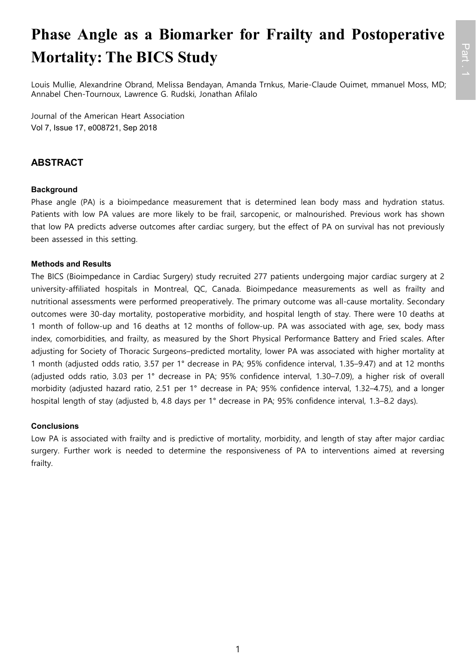# **Phase Angle as a Biomarker for Frailty and Postoperative Mortality: The BICS Study**

Louis Mullie, Alexandrine Obrand, Melissa Bendayan, Amanda Trnkus, Marie-Claude Ouimet, mmanuel Moss, MD; Annabel Chen-Tournoux, Lawrence G. Rudski, Jonathan Afilalo

Journal of the American Heart Association Vol 7, Issue 17, e008721, Sep 2018

### **ABSTRACT**

### **Background**

Phase angle (PA) is a bioimpedance measurement that is determined lean body mass and hydration status. Patients with low PA values are more likely to be frail, sarcopenic, or malnourished. Previous work has shown that low PA predicts adverse outcomes after cardiac surgery, but the effect of PA on survival has not previously been assessed in this setting.

### **Methods and Results**

The BICS (Bioimpedance in Cardiac Surgery) study recruited 277 patients undergoing major cardiac surgery at 2 university-affiliated hospitals in Montreal, QC, Canada. Bioimpedance measurements as well as frailty and nutritional assessments were performed preoperatively. The primary outcome was all-cause mortality. Secondary outcomes were 30-day mortality, postoperative morbidity, and hospital length of stay. There were 10 deaths at 1 month of follow-up and 16 deaths at 12 months of follow-up. PA was associated with age, sex, body mass index, comorbidities, and frailty, as measured by the Short Physical Performance Battery and Fried scales. After adjusting for Society of Thoracic Surgeons–predicted mortality, lower PA was associated with higher mortality at 1 month (adjusted odds ratio, 3.57 per 1° decrease in PA; 95% confidence interval, 1.35–9.47) and at 12 months (adjusted odds ratio, 3.03 per 1° decrease in PA; 95% confidence interval, 1.30–7.09), a higher risk of overall morbidity (adjusted hazard ratio, 2.51 per 1° decrease in PA; 95% confidence interval, 1.32–4.75), and a longer hospital length of stay (adjusted b, 4.8 days per 1° decrease in PA; 95% confidence interval, 1.3–8.2 days).

### **Conclusions**

Low PA is associated with frailty and is predictive of mortality, morbidity, and length of stay after major cardiac surgery. Further work is needed to determine the responsiveness of PA to interventions aimed at reversing frailty.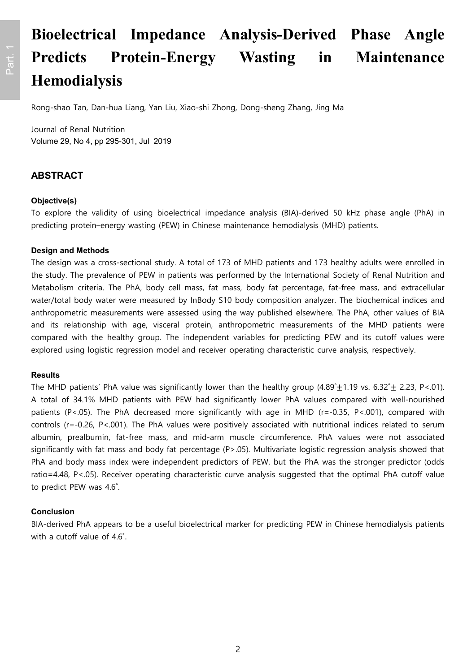# **Bioelectrical Impedance Analysis-Derived Phase Angle Predicts Protein-Energy Wasting in Maintenance Hemodialysis**

Rong-shao Tan, Dan-hua Liang, Yan Liu, Xiao-shi Zhong, Dong-sheng Zhang, Jing Ma

Journal of Renal Nutrition Volume 29, No 4, pp 295-301, Jul 2019

### **ABSTRACT**

#### **Objective(s)**

To explore the validity of using bioelectrical impedance analysis (BIA)-derived 50 kHz phase angle (PhA) in predicting protein–energy wasting (PEW) in Chinese maintenance hemodialysis (MHD) patients.

#### **Design and Methods**

The design was a cross-sectional study. A total of 173 of MHD patients and 173 healthy adults were enrolled in the study. The prevalence of PEW in patients was performed by the International Society of Renal Nutrition and Metabolism criteria. The PhA, body cell mass, fat mass, body fat percentage, fat-free mass, and extracellular water/total body water were measured by InBody S10 body composition analyzer. The biochemical indices and anthropometric measurements were assessed using the way published elsewhere. The PhA, other values of BIA and its relationship with age, visceral protein, anthropometric measurements of the MHD patients were compared with the healthy group. The independent variables for predicting PEW and its cutoff values were explored using logistic regression model and receiver operating characteristic curve analysis, respectively.

#### **Results**

The MHD patients' PhA value was significantly lower than the healthy group  $(4.89°±1.19$  vs.  $6.32°± 2.23$ , P<.01). A total of 34.1% MHD patients with PEW had significantly lower PhA values compared with well-nourished patients (P<.05). The PhA decreased more significantly with age in MHD (r=-0.35, P<.001), compared with controls (r=-0.26, P<.001). The PhA values were positively associated with nutritional indices related to serum albumin, prealbumin, fat-free mass, and mid-arm muscle circumference. PhA values were not associated significantly with fat mass and body fat percentage (P>.05). Multivariate logistic regression analysis showed that PhA and body mass index were independent predictors of PEW, but the PhA was the stronger predictor (odds ratio=4.48, P<.05). Receiver operating characteristic curve analysis suggested that the optimal PhA cutoff value to predict PEW was 4.6˚.

#### **Conclusion**

BIA-derived PhA appears to be a useful bioelectrical marker for predicting PEW in Chinese hemodialysis patients with a cutoff value of 4.6˚.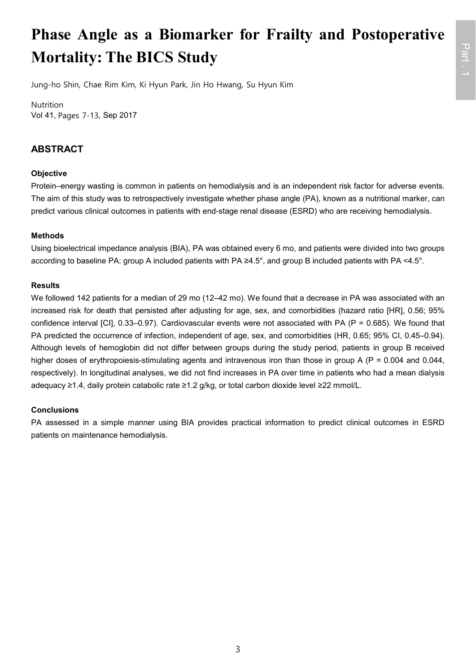# **Phase Angle as a Biomarker for Frailty and Postoperative Mortality: The BICS Study**

Jung-ho Shin, Chae Rim Kim, Ki Hyun Park, Jin Ho Hwang, Su Hyun Kim

Nutrition Vol 41, Pages 7-13, Sep 2017

### **ABSTRACT**

### **Objective**

Protein–energy wasting is common in patients on hemodialysis and is an independent risk factor for adverse events. The aim of this study was to retrospectively investigate whether phase angle (PA), known as a nutritional marker, can predict various clinical outcomes in patients with end-stage renal disease (ESRD) who are receiving hemodialysis.

### **Methods**

Using bioelectrical impedance analysis (BIA), PA was obtained every 6 mo, and patients were divided into two groups according to baseline PA: group A included patients with PA ≥4.5°, and group B included patients with PA <4.5°.

### **Results**

We followed 142 patients for a median of 29 mo (12–42 mo). We found that a decrease in PA was associated with an increased risk for death that persisted after adjusting for age, sex, and comorbidities (hazard ratio [HR], 0.56; 95% confidence interval [CI], 0.33–0.97). Cardiovascular events were not associated with PA (P = 0.685). We found that PA predicted the occurrence of infection, independent of age, sex, and comorbidities (HR, 0.65; 95% CI, 0.45–0.94). Although levels of hemoglobin did not differ between groups during the study period, patients in group B received higher doses of erythropoiesis-stimulating agents and intravenous iron than those in group A (P = 0.004 and 0.044, respectively). In longitudinal analyses, we did not find increases in PA over time in patients who had a mean dialysis adequacy ≥1.4, daily protein catabolic rate ≥1.2 g/kg, or total carbon dioxide level ≥22 mmol/L.

### **Conclusions**

PA assessed in a simple manner using BIA provides practical information to predict clinical outcomes in ESRD patients on maintenance hemodialysis.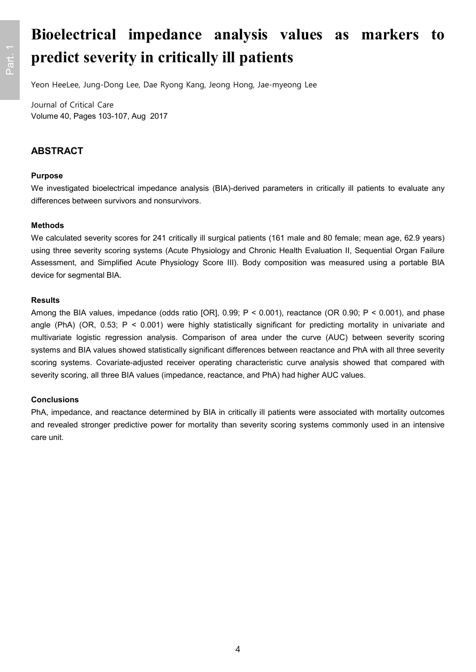# **Bioelectrical impedance analysis values as markers to predict severity in critically ill patients**

Yeon HeeLee, Jung-Dong Lee, Dae Ryong Kang, Jeong Hong, Jae-myeong Lee

Journal of Critical Care Volume 40, Pages 103-107, Aug 2017

### **ABSTRACT**

#### **Purpose**

We investigated bioelectrical impedance analysis (BIA)-derived parameters in critically ill patients to evaluate any differences between survivors and nonsurvivors.

#### **Methods**

We calculated severity scores for 241 critically ill surgical patients (161 male and 80 female; mean age, 62.9 years) using three severity scoring systems (Acute Physiology and Chronic Health Evaluation II, Sequential Organ Failure Assessment, and Simplified Acute Physiology Score III). Body composition was measured using a portable BIA device for segmental BIA.

#### **Results**

Among the BIA values, impedance (odds ratio [OR], 0.99; P < 0.001), reactance (OR 0.90; P < 0.001), and phase angle (PhA) (OR, 0.53; P < 0.001) were highly statistically significant for predicting mortality in univariate and multivariate logistic regression analysis. Comparison of area under the curve (AUC) between severity scoring systems and BIA values showed statistically significant differences between reactance and PhA with all three severity scoring systems. Covariate-adjusted receiver operating characteristic curve analysis showed that compared with severity scoring, all three BIA values (impedance, reactance, and PhA) had higher AUC values.

#### **Conclusions**

PhA, impedance, and reactance determined by BIA in critically ill patients were associated with mortality outcomes and revealed stronger predictive power for mortality than severity scoring systems commonly used in an intensive care unit.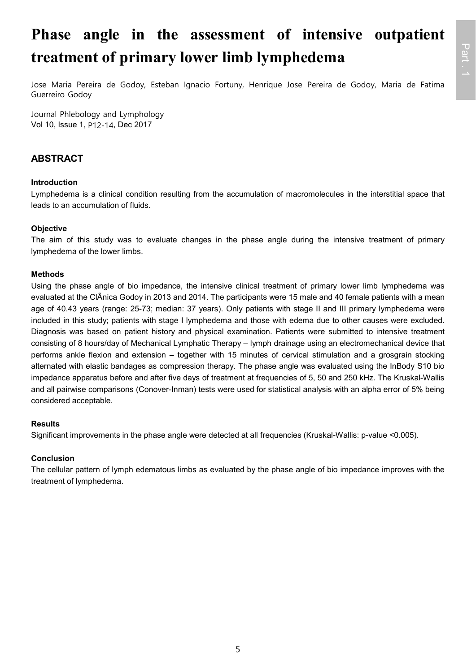# **Phase angle in the assessment of intensive outpatient treatment of primary lower limb lymphedema**

Jose Maria Pereira de Godoy, Esteban Ignacio Fortuny, Henrique Jose Pereira de Godoy, Maria de Fatima Guerreiro Godoy

Journal Phlebology and Lymphology Vol 10, Issue 1, P12-14, Dec 2017

### **ABSTRACT**

### **Introduction**

Lymphedema is a clinical condition resulting from the accumulation of macromolecules in the interstitial space that leads to an accumulation of fluids.

### **Objective**

The aim of this study was to evaluate changes in the phase angle during the intensive treatment of primary lymphedema of the lower limbs.

### **Methods**

Using the phase angle of bio impedance, the intensive clinical treatment of primary lower limb lymphedema was evaluated at the ClÃnica Godoy in 2013 and 2014. The participants were 15 male and 40 female patients with a mean age of 40.43 years (range: 25-73; median: 37 years). Only patients with stage II and III primary lymphedema were included in this study; patients with stage I lymphedema and those with edema due to other causes were excluded. Diagnosis was based on patient history and physical examination. Patients were submitted to intensive treatment consisting of 8 hours/day of Mechanical Lymphatic Therapy – lymph drainage using an electromechanical device that performs ankle flexion and extension – together with 15 minutes of cervical stimulation and a grosgrain stocking alternated with elastic bandages as compression therapy. The phase angle was evaluated using the InBody S10 bio impedance apparatus before and after five days of treatment at frequencies of 5, 50 and 250 kHz. The Kruskal-Wallis and all pairwise comparisons (Conover-Inman) tests were used for statistical analysis with an alpha error of 5% being considered acceptable.

#### **Results**

Significant improvements in the phase angle were detected at all frequencies (Kruskal-Wallis: p-value <0.005).

### **Conclusion**

The cellular pattern of lymph edematous limbs as evaluated by the phase angle of bio impedance improves with the treatment of lymphedema.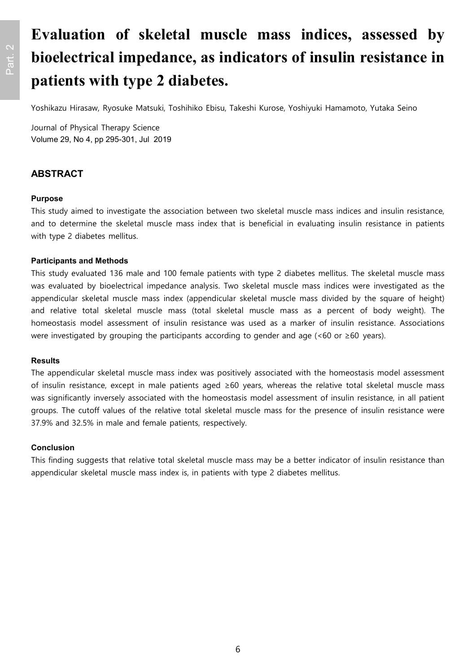# **Evaluation of skeletal muscle mass indices, assessed by bioelectrical impedance, as indicators of insulin resistance in patients with type 2 diabetes.**

Yoshikazu Hirasaw, Ryosuke Matsuki, Toshihiko Ebisu, Takeshi Kurose, Yoshiyuki Hamamoto, Yutaka Seino

Journal of Physical Therapy Science Volume 29, No 4, pp 295-301, Jul 2019

### **ABSTRACT**

#### **Purpose**

This study aimed to investigate the association between two skeletal muscle mass indices and insulin resistance, and to determine the skeletal muscle mass index that is beneficial in evaluating insulin resistance in patients with type 2 diabetes mellitus.

#### **Participants and Methods**

This study evaluated 136 male and 100 female patients with type 2 diabetes mellitus. The skeletal muscle mass was evaluated by bioelectrical impedance analysis. Two skeletal muscle mass indices were investigated as the appendicular skeletal muscle mass index (appendicular skeletal muscle mass divided by the square of height) and relative total skeletal muscle mass (total skeletal muscle mass as a percent of body weight). The homeostasis model assessment of insulin resistance was used as a marker of insulin resistance. Associations were investigated by grouping the participants according to gender and age (<60 or ≥60 years).

#### **Results**

The appendicular skeletal muscle mass index was positively associated with the homeostasis model assessment of insulin resistance, except in male patients aged ≥60 years, whereas the relative total skeletal muscle mass was significantly inversely associated with the homeostasis model assessment of insulin resistance, in all patient groups. The cutoff values of the relative total skeletal muscle mass for the presence of insulin resistance were 37.9% and 32.5% in male and female patients, respectively.

#### **Conclusion**

This finding suggests that relative total skeletal muscle mass may be a better indicator of insulin resistance than appendicular skeletal muscle mass index is, in patients with type 2 diabetes mellitus.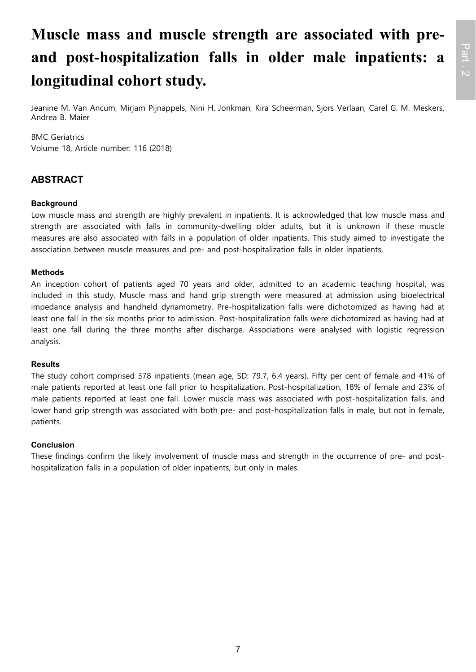# **Muscle mass and muscle strength are associated with preand post-hospitalization falls in older male inpatients: a longitudinal cohort study.**

Jeanine M. Van Ancum, Mirjam Pijnappels, Nini H. Jonkman, Kira Scheerman, Sjors Verlaan, Carel G. M. Meskers, Andrea B. Maier

### BMC Geriatrics

Volume 18, Article number: 116 (2018)

### **ABSTRACT**

### **Background**

Low muscle mass and strength are highly prevalent in inpatients. It is acknowledged that low muscle mass and strength are associated with falls in community-dwelling older adults, but it is unknown if these muscle measures are also associated with falls in a population of older inpatients. This study aimed to investigate the association between muscle measures and pre- and post-hospitalization falls in older inpatients.

### **Methods**

An inception cohort of patients aged 70 years and older, admitted to an academic teaching hospital, was included in this study. Muscle mass and hand grip strength were measured at admission using bioelectrical impedance analysis and handheld dynamometry. Pre-hospitalization falls were dichotomized as having had at least one fall in the six months prior to admission. Post-hospitalization falls were dichotomized as having had at least one fall during the three months after discharge. Associations were analysed with logistic regression analysis.

#### **Results**

The study cohort comprised 378 inpatients (mean age, SD: 79.7, 6.4 years). Fifty per cent of female and 41% of male patients reported at least one fall prior to hospitalization. Post-hospitalization, 18% of female and 23% of male patients reported at least one fall. Lower muscle mass was associated with post-hospitalization falls, and lower hand grip strength was associated with both pre- and post-hospitalization falls in male, but not in female, patients.

### **Conclusion**

These findings confirm the likely involvement of muscle mass and strength in the occurrence of pre- and posthospitalization falls in a population of older inpatients, but only in males.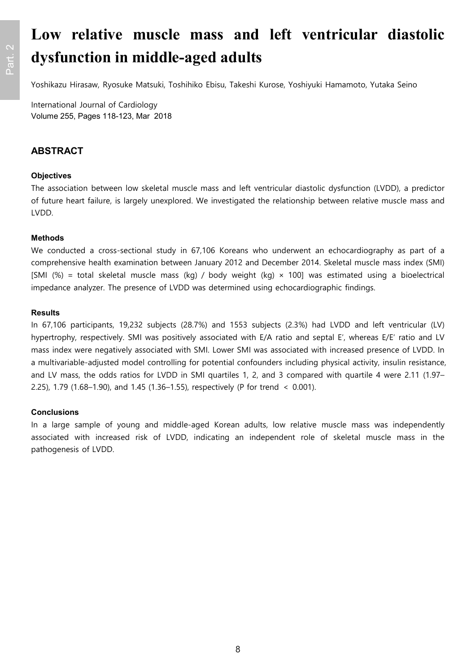# **Low relative muscle mass and left ventricular diastolic dysfunction in middle-aged adults**

Yoshikazu Hirasaw, Ryosuke Matsuki, Toshihiko Ebisu, Takeshi Kurose, Yoshiyuki Hamamoto, Yutaka Seino

International Journal of Cardiology Volume 255, Pages 118-123, Mar 2018

### **ABSTRACT**

### **Objectives**

The association between low skeletal muscle mass and left ventricular diastolic dysfunction (LVDD), a predictor of future heart failure, is largely unexplored. We investigated the relationship between relative muscle mass and LVDD.

### **Methods**

We conducted a cross-sectional study in 67,106 Koreans who underwent an echocardiography as part of a comprehensive health examination between January 2012 and December 2014. Skeletal muscle mass index (SMI) [SMI (%) = total skeletal muscle mass (kg) / body weight (kg)  $\times$  100] was estimated using a bioelectrical impedance analyzer. The presence of LVDD was determined using echocardiographic findings.

### **Results**

In 67,106 participants, 19,232 subjects (28.7%) and 1553 subjects (2.3%) had LVDD and left ventricular (LV) hypertrophy, respectively. SMI was positively associated with E/A ratio and septal E′, whereas E/E′ ratio and LV mass index were negatively associated with SMI. Lower SMI was associated with increased presence of LVDD. In a multivariable-adjusted model controlling for potential confounders including physical activity, insulin resistance, and LV mass, the odds ratios for LVDD in SMI quartiles 1, 2, and 3 compared with quartile 4 were 2.11 (1.97– 2.25), 1.79 (1.68–1.90), and 1.45 (1.36–1.55), respectively (P for trend < 0.001).

### **Conclusions**

In a large sample of young and middle-aged Korean adults, low relative muscle mass was independently associated with increased risk of LVDD, indicating an independent role of skeletal muscle mass in the pathogenesis of LVDD.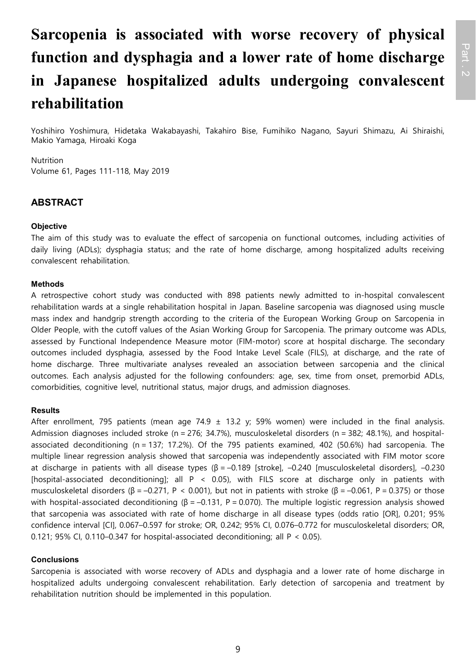# **Sarcopenia is associated with worse recovery of physical function and dysphagia and a lower rate of home discharge in Japanese hospitalized adults undergoing convalescent rehabilitation**

Yoshihiro Yoshimura, Hidetaka Wakabayashi, Takahiro Bise, Fumihiko Nagano, Sayuri Shimazu, Ai Shiraishi, Makio Yamaga, Hiroaki Koga

#### Nutrition

Volume 61, Pages 111-118, May 2019

### **ABSTRACT**

#### **Objective**

The aim of this study was to evaluate the effect of sarcopenia on functional outcomes, including activities of daily living (ADLs); dysphagia status; and the rate of home discharge, among hospitalized adults receiving convalescent rehabilitation.

### **Methods**

A retrospective cohort study was conducted with 898 patients newly admitted to in-hospital convalescent rehabilitation wards at a single rehabilitation hospital in Japan. Baseline sarcopenia was diagnosed using muscle mass index and handgrip strength according to the criteria of the European Working Group on Sarcopenia in Older People, with the cutoff values of the Asian Working Group for Sarcopenia. The primary outcome was ADLs, assessed by Functional Independence Measure motor (FIM-motor) score at hospital discharge. The secondary outcomes included dysphagia, assessed by the Food Intake Level Scale (FILS), at discharge, and the rate of home discharge. Three multivariate analyses revealed an association between sarcopenia and the clinical outcomes. Each analysis adjusted for the following confounders: age, sex, time from onset, premorbid ADLs, comorbidities, cognitive level, nutritional status, major drugs, and admission diagnoses.

#### **Results**

After enrollment, 795 patients (mean age 74.9  $\pm$  13.2 y; 59% women) were included in the final analysis. Admission diagnoses included stroke (n = 276; 34.7%), musculoskeletal disorders (n = 382; 48.1%), and hospitalassociated deconditioning (n = 137; 17.2%). Of the 795 patients examined, 402 (50.6%) had sarcopenia. The multiple linear regression analysis showed that sarcopenia was independently associated with FIM motor score at discharge in patients with all disease types (β = –0.189 [stroke], –0.240 [musculoskeletal disorders], –0.230 [hospital-associated deconditioning]; all P < 0.05), with FILS score at discharge only in patients with musculoskeletal disorders (β = -0.271, P < 0.001), but not in patients with stroke (β = -0.061, P = 0.375) or those with hospital-associated deconditioning ( $\beta$  = -0.131, P = 0.070). The multiple logistic regression analysis showed that sarcopenia was associated with rate of home discharge in all disease types (odds ratio [OR], 0.201; 95% confidence interval [CI], 0.067–0.597 for stroke; OR, 0.242; 95% CI, 0.076–0.772 for musculoskeletal disorders; OR, 0.121; 95% CI, 0.110–0.347 for hospital-associated deconditioning; all P < 0.05).

### **Conclusions**

Sarcopenia is associated with worse recovery of ADLs and dysphagia and a lower rate of home discharge in hospitalized adults undergoing convalescent rehabilitation. Early detection of sarcopenia and treatment by rehabilitation nutrition should be implemented in this population.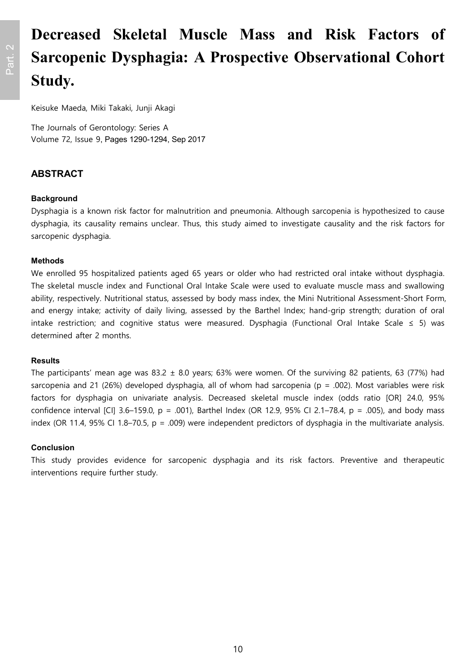# **Decreased Skeletal Muscle Mass and Risk Factors of Sarcopenic Dysphagia: A Prospective Observational Cohort Study.**

Keisuke Maeda, Miki Takaki, Junji Akagi

The Journals of Gerontology: Series A Volume 72, Issue 9, Pages 1290-1294, Sep 2017

### **ABSTRACT**

### **Background**

Dysphagia is a known risk factor for malnutrition and pneumonia. Although sarcopenia is hypothesized to cause dysphagia, its causality remains unclear. Thus, this study aimed to investigate causality and the risk factors for sarcopenic dysphagia.

### **Methods**

We enrolled 95 hospitalized patients aged 65 years or older who had restricted oral intake without dysphagia. The skeletal muscle index and Functional Oral Intake Scale were used to evaluate muscle mass and swallowing ability, respectively. Nutritional status, assessed by body mass index, the Mini Nutritional Assessment-Short Form, and energy intake; activity of daily living, assessed by the Barthel Index; hand-grip strength; duration of oral intake restriction; and cognitive status were measured. Dysphagia (Functional Oral Intake Scale ≤ 5) was determined after 2 months.

### **Results**

The participants' mean age was 83.2  $\pm$  8.0 years; 63% were women. Of the surviving 82 patients, 63 (77%) had sarcopenia and 21 (26%) developed dysphagia, all of whom had sarcopenia ( $p = .002$ ). Most variables were risk factors for dysphagia on univariate analysis. Decreased skeletal muscle index (odds ratio [OR] 24.0, 95% confidence interval [CI] 3.6–159.0, p = .001), Barthel Index (OR 12.9, 95% CI 2.1–78.4, p = .005), and body mass index (OR 11.4, 95% CI 1.8–70.5,  $p = .009$ ) were independent predictors of dysphagia in the multivariate analysis.

### **Conclusion**

This study provides evidence for sarcopenic dysphagia and its risk factors. Preventive and therapeutic interventions require further study.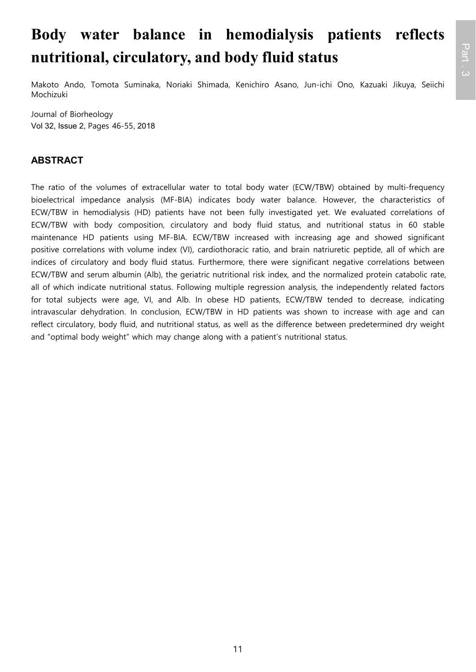# **Body water balance in hemodialysis patients reflects nutritional, circulatory, and body fluid status**

Makoto Ando, Tomota Suminaka, Noriaki Shimada, Kenichiro Asano, Jun-ichi Ono, Kazuaki Jikuya, Seiichi Mochizuki

Journal of Biorheology Vol 32, Issue 2, Pages 46-55, 2018

### **ABSTRACT**

The ratio of the volumes of extracellular water to total body water (ECW/TBW) obtained by multi-frequency bioelectrical impedance analysis (MF-BIA) indicates body water balance. However, the characteristics of ECW/TBW in hemodialysis (HD) patients have not been fully investigated yet. We evaluated correlations of ECW/TBW with body composition, circulatory and body fluid status, and nutritional status in 60 stable maintenance HD patients using MF-BIA. ECW/TBW increased with increasing age and showed significant positive correlations with volume index (VI), cardiothoracic ratio, and brain natriuretic peptide, all of which are indices of circulatory and body fluid status. Furthermore, there were significant negative correlations between ECW/TBW and serum albumin (Alb), the geriatric nutritional risk index, and the normalized protein catabolic rate, all of which indicate nutritional status. Following multiple regression analysis, the independently related factors for total subjects were age, VI, and Alb. In obese HD patients, ECW/TBW tended to decrease, indicating intravascular dehydration. In conclusion, ECW/TBW in HD patients was shown to increase with age and can reflect circulatory, body fluid, and nutritional status, as well as the difference between predetermined dry weight and "optimal body weight" which may change along with a patient's nutritional status.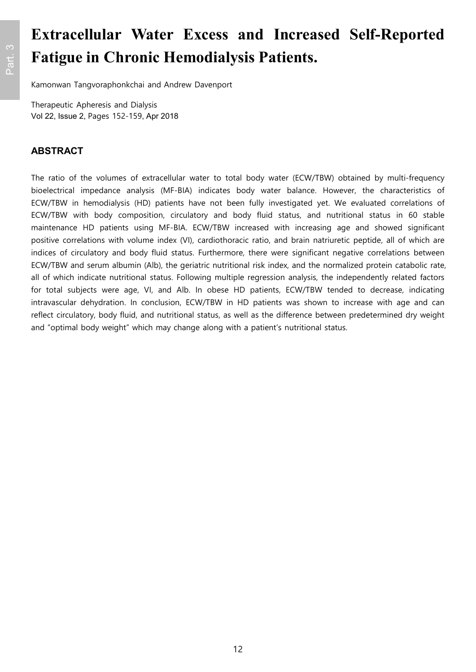# **Extracellular Water Excess and Increased Self-Reported Fatigue in Chronic Hemodialysis Patients.**

Kamonwan Tangvoraphonkchai and Andrew Davenport

Therapeutic Apheresis and Dialysis Vol 22, Issue 2, Pages 152-159, Apr 2018

### **ABSTRACT**

The ratio of the volumes of extracellular water to total body water (ECW/TBW) obtained by multi-frequency bioelectrical impedance analysis (MF-BIA) indicates body water balance. However, the characteristics of ECW/TBW in hemodialysis (HD) patients have not been fully investigated yet. We evaluated correlations of ECW/TBW with body composition, circulatory and body fluid status, and nutritional status in 60 stable maintenance HD patients using MF-BIA. ECW/TBW increased with increasing age and showed significant positive correlations with volume index (VI), cardiothoracic ratio, and brain natriuretic peptide, all of which are indices of circulatory and body fluid status. Furthermore, there were significant negative correlations between ECW/TBW and serum albumin (Alb), the geriatric nutritional risk index, and the normalized protein catabolic rate, all of which indicate nutritional status. Following multiple regression analysis, the independently related factors for total subjects were age, VI, and Alb. In obese HD patients, ECW/TBW tended to decrease, indicating intravascular dehydration. In conclusion, ECW/TBW in HD patients was shown to increase with age and can reflect circulatory, body fluid, and nutritional status, as well as the difference between predetermined dry weight and "optimal body weight" which may change along with a patient's nutritional status.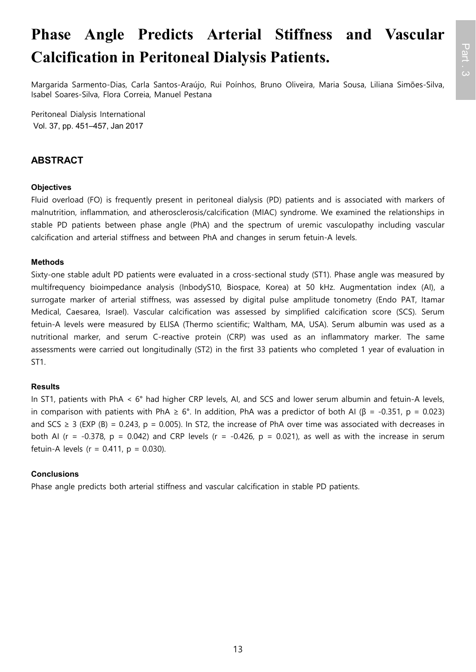# **Phase Angle Predicts Arterial Stiffness and Vascular Calcification in Peritoneal Dialysis Patients.**

Margarida Sarmento-Dias, Carla Santos-Araújo, Rui Poínhos, Bruno Oliveira, Maria Sousa, Liliana Simões-Silva, Isabel Soares-Silva, Flora Correia, Manuel Pestana

Peritoneal Dialysis International Vol. 37, pp. 451–457, Jan 2017

### **ABSTRACT**

### **Objectives**

Fluid overload (FO) is frequently present in peritoneal dialysis (PD) patients and is associated with markers of malnutrition, inflammation, and atherosclerosis/calcification (MIAC) syndrome. We examined the relationships in stable PD patients between phase angle (PhA) and the spectrum of uremic vasculopathy including vascular calcification and arterial stiffness and between PhA and changes in serum fetuin-A levels.

### **Methods**

Sixty-one stable adult PD patients were evaluated in a cross-sectional study (ST1). Phase angle was measured by multifrequency bioimpedance analysis (InbodyS10, Biospace, Korea) at 50 kHz. Augmentation index (AI), a surrogate marker of arterial stiffness, was assessed by digital pulse amplitude tonometry (Endo PAT, Itamar Medical, Caesarea, Israel). Vascular calcification was assessed by simplified calcification score (SCS). Serum fetuin-A levels were measured by ELISA (Thermo scientific; Waltham, MA, USA). Serum albumin was used as a nutritional marker, and serum C-reactive protein (CRP) was used as an inflammatory marker. The same assessments were carried out longitudinally (ST2) in the first 33 patients who completed 1 year of evaluation in ST1.

### **Results**

In ST1, patients with PhA < 6° had higher CRP levels, AI, and SCS and lower serum albumin and fetuin-A levels, in comparison with patients with PhA  $\geq 6^{\circ}$ . In addition, PhA was a predictor of both AI ( $\beta = -0.351$ ,  $p = 0.023$ ) and SCS  $\geq$  3 (EXP (B) = 0.243, p = 0.005). In ST2, the increase of PhA over time was associated with decreases in both AI (r = -0.378, p = 0.042) and CRP levels (r = -0.426, p = 0.021), as well as with the increase in serum fetuin-A levels ( $r = 0.411$ ,  $p = 0.030$ ).

### **Conclusions**

Phase angle predicts both arterial stiffness and vascular calcification in stable PD patients.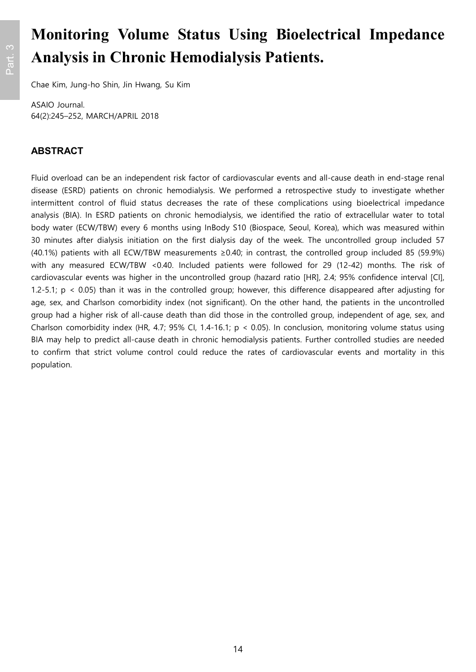# **Monitoring Volume Status Using Bioelectrical Impedance Analysis in Chronic Hemodialysis Patients.**

Chae Kim, Jung-ho Shin, Jin Hwang, Su Kim

ASAIO Journal. 64(2):245–252, MARCH/APRIL 2018

### **ABSTRACT**

Fluid overload can be an independent risk factor of cardiovascular events and all-cause death in end-stage renal disease (ESRD) patients on chronic hemodialysis. We performed a retrospective study to investigate whether intermittent control of fluid status decreases the rate of these complications using bioelectrical impedance analysis (BIA). In ESRD patients on chronic hemodialysis, we identified the ratio of extracellular water to total body water (ECW/TBW) every 6 months using InBody S10 (Biospace, Seoul, Korea), which was measured within 30 minutes after dialysis initiation on the first dialysis day of the week. The uncontrolled group included 57 (40.1%) patients with all ECW/TBW measurements ≥0.40; in contrast, the controlled group included 85 (59.9%) with any measured ECW/TBW <0.40. Included patients were followed for 29 (12-42) months. The risk of cardiovascular events was higher in the uncontrolled group (hazard ratio [HR], 2.4; 95% confidence interval [CI], 1.2-5.1;  $p \le 0.05$ ) than it was in the controlled group; however, this difference disappeared after adjusting for age, sex, and Charlson comorbidity index (not significant). On the other hand, the patients in the uncontrolled group had a higher risk of all-cause death than did those in the controlled group, independent of age, sex, and Charlson comorbidity index (HR, 4.7; 95% CI, 1.4-16.1; p < 0.05). In conclusion, monitoring volume status using BIA may help to predict all-cause death in chronic hemodialysis patients. Further controlled studies are needed to confirm that strict volume control could reduce the rates of cardiovascular events and mortality in this population.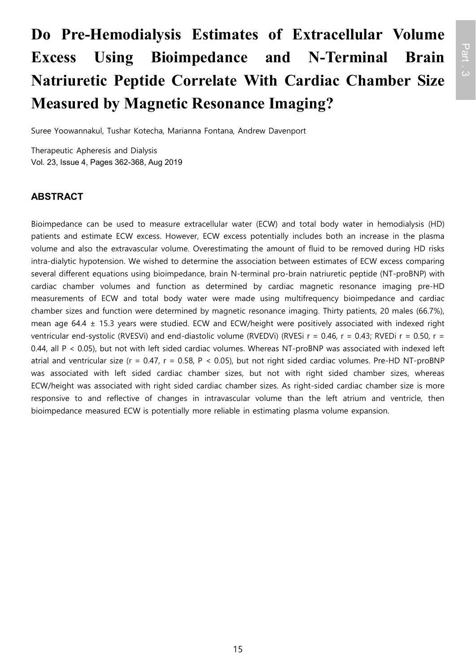# **Do Pre‐Hemodialysis Estimates of Extracellular Volume Excess Using Bioimpedance and N‐Terminal Brain Natriuretic Peptide Correlate With Cardiac Chamber Size Measured by Magnetic Resonance Imaging?**

Suree Yoowannakul, Tushar Kotecha, Marianna Fontana, Andrew Davenport

Therapeutic Apheresis and Dialysis Vol. 23, Issue 4, Pages 362-368, Aug 2019

### **ABSTRACT**

Bioimpedance can be used to measure extracellular water (ECW) and total body water in hemodialysis (HD) patients and estimate ECW excess. However, ECW excess potentially includes both an increase in the plasma volume and also the extravascular volume. Overestimating the amount of fluid to be removed during HD risks intra-dialytic hypotension. We wished to determine the association between estimates of ECW excess comparing several different equations using bioimpedance, brain N-terminal pro-brain natriuretic peptide (NT-proBNP) with cardiac chamber volumes and function as determined by cardiac magnetic resonance imaging pre-HD measurements of ECW and total body water were made using multifrequency bioimpedance and cardiac chamber sizes and function were determined by magnetic resonance imaging. Thirty patients, 20 males (66.7%), mean age 64.4 ± 15.3 years were studied. ECW and ECW/height were positively associated with indexed right ventricular end-systolic (RVESVi) and end-diastolic volume (RVEDVi) (RVESi r = 0.46, r = 0.43; RVEDi r = 0.50, r = 0.44, all P < 0.05), but not with left sided cardiac volumes. Whereas NT-proBNP was associated with indexed left atrial and ventricular size ( $r = 0.47$ ,  $r = 0.58$ ,  $P < 0.05$ ), but not right sided cardiac volumes. Pre-HD NT-proBNP was associated with left sided cardiac chamber sizes, but not with right sided chamber sizes, whereas ECW/height was associated with right sided cardiac chamber sizes. As right-sided cardiac chamber size is more responsive to and reflective of changes in intravascular volume than the left atrium and ventricle, then bioimpedance measured ECW is potentially more reliable in estimating plasma volume expansion.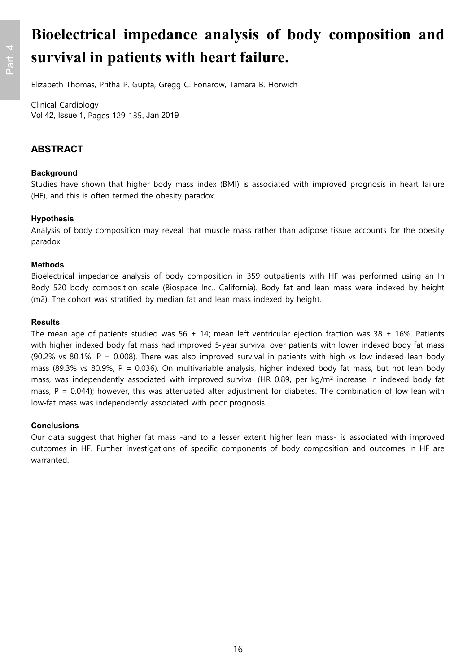# **Bioelectrical impedance analysis of body composition and survival in patients with heart failure.**

Elizabeth Thomas, Pritha P. Gupta, Gregg C. Fonarow, Tamara B. Horwich

Clinical Cardiology Vol 42, Issue 1, Pages 129-135, Jan 2019

### **ABSTRACT**

### **Background**

Studies have shown that higher body mass index (BMI) is associated with improved prognosis in heart failure (HF), and this is often termed the obesity paradox.

### **Hypothesis**

Analysis of body composition may reveal that muscle mass rather than adipose tissue accounts for the obesity paradox.

### **Methods**

Bioelectrical impedance analysis of body composition in 359 outpatients with HF was performed using an In Body 520 body composition scale (Biospace Inc., California). Body fat and lean mass were indexed by height (m2). The cohort was stratified by median fat and lean mass indexed by height.

### **Results**

The mean age of patients studied was 56  $\pm$  14; mean left ventricular ejection fraction was 38  $\pm$  16%. Patients with higher indexed body fat mass had improved 5-year survival over patients with lower indexed body fat mass (90.2% vs 80.1%, P = 0.008). There was also improved survival in patients with high vs low indexed lean body mass (89.3% vs 80.9%, P = 0.036). On multivariable analysis, higher indexed body fat mass, but not lean body mass, was independently associated with improved survival (HR 0.89, per kg/m<sup>2</sup> increase in indexed body fat mass,  $P = 0.044$ ); however, this was attenuated after adjustment for diabetes. The combination of low lean with low-fat mass was independently associated with poor prognosis.

### **Conclusions**

Our data suggest that higher fat mass -and to a lesser extent higher lean mass- is associated with improved outcomes in HF. Further investigations of specific components of body composition and outcomes in HF are warranted.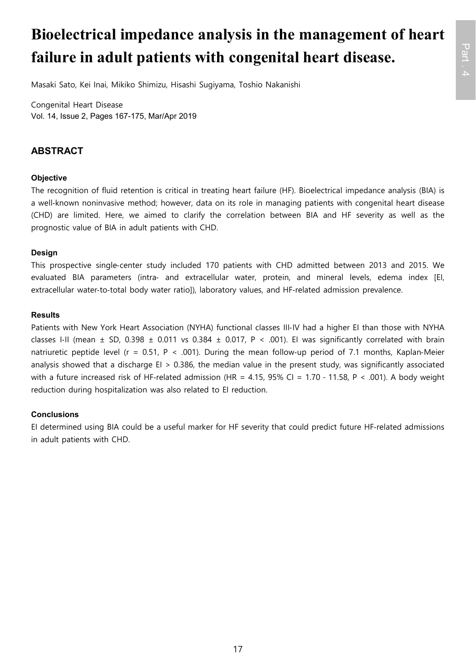# **Bioelectrical impedance analysis in the management of heart failure in adult patients with congenital heart disease.**

Masaki Sato, Kei Inai, Mikiko Shimizu, Hisashi Sugiyama, Toshio Nakanishi

Congenital Heart Disease Vol. 14, Issue 2, Pages 167-175, Mar/Apr 2019

### **ABSTRACT**

### **Objective**

The recognition of fluid retention is critical in treating heart failure (HF). Bioelectrical impedance analysis (BIA) is a well-known noninvasive method; however, data on its role in managing patients with congenital heart disease (CHD) are limited. Here, we aimed to clarify the correlation between BIA and HF severity as well as the prognostic value of BIA in adult patients with CHD.

### **Design**

This prospective single‐center study included 170 patients with CHD admitted between 2013 and 2015. We evaluated BIA parameters (intra‐ and extracellular water, protein, and mineral levels, edema index [EI, extracellular water-to-total body water ratio]), laboratory values, and HF-related admission prevalence.

### **Results**

Patients with New York Heart Association (NYHA) functional classes III‐IV had a higher EI than those with NYHA classes I-II (mean  $\pm$  SD, 0.398  $\pm$  0.011 vs 0.384  $\pm$  0.017, P < .001). EI was significantly correlated with brain natriuretic peptide level (r = 0.51, P < .001). During the mean follow-up period of 7.1 months, Kaplan-Meier analysis showed that a discharge  $EI > 0.386$ , the median value in the present study, was significantly associated with a future increased risk of HF-related admission (HR = 4.15, 95% CI = 1.70 - 11.58, P < .001). A body weight reduction during hospitalization was also related to EI reduction.

### **Conclusions**

EI determined using BIA could be a useful marker for HF severity that could predict future HF‐related admissions in adult patients with CHD.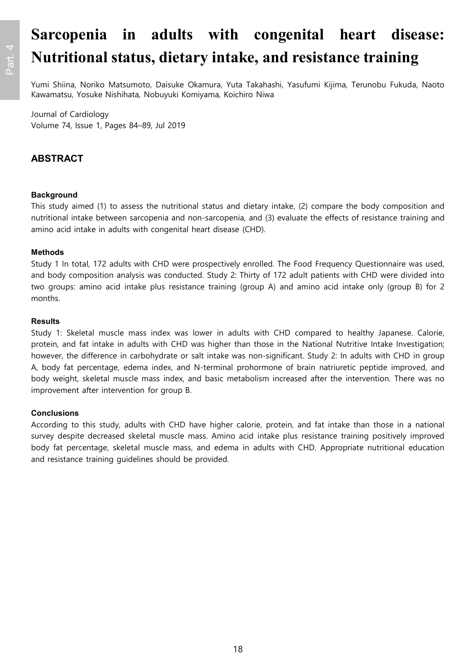# **Sarcopenia in adults with congenital heart disease: Nutritional status, dietary intake, and resistance training**

Yumi Shiina, Noriko Matsumoto, Daisuke Okamura, Yuta Takahashi, Yasufumi Kijima, Terunobu Fukuda, Naoto Kawamatsu, Yosuke Nishihata, Nobuyuki Komiyama, Koichiro Niwa

#### Journal of Cardiology Volume 74, Issue 1, Pages 84–89, Jul 2019

### **ABSTRACT**

### **Background**

This study aimed (1) to assess the nutritional status and dietary intake, (2) compare the body composition and nutritional intake between sarcopenia and non-sarcopenia, and (3) evaluate the effects of resistance training and amino acid intake in adults with congenital heart disease (CHD).

### **Methods**

Study 1 In total, 172 adults with CHD were prospectively enrolled. The Food Frequency Questionnaire was used, and body composition analysis was conducted. Study 2: Thirty of 172 adult patients with CHD were divided into two groups: amino acid intake plus resistance training (group A) and amino acid intake only (group B) for 2 months.

### **Results**

Study 1: Skeletal muscle mass index was lower in adults with CHD compared to healthy Japanese. Calorie, protein, and fat intake in adults with CHD was higher than those in the National Nutritive Intake Investigation; however, the difference in carbohydrate or salt intake was non-significant. Study 2: In adults with CHD in group A, body fat percentage, edema index, and N-terminal prohormone of brain natriuretic peptide improved, and body weight, skeletal muscle mass index, and basic metabolism increased after the intervention. There was no improvement after intervention for group B.

### **Conclusions**

According to this study, adults with CHD have higher calorie, protein, and fat intake than those in a national survey despite decreased skeletal muscle mass. Amino acid intake plus resistance training positively improved body fat percentage, skeletal muscle mass, and edema in adults with CHD. Appropriate nutritional education and resistance training guidelines should be provided.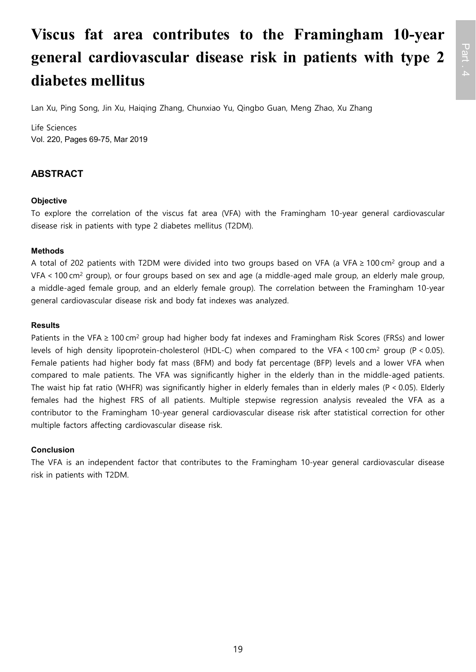# **Viscus fat area contributes to the Framingham 10-year general cardiovascular disease risk in patients with type 2 diabetes mellitus**

Lan Xu, Ping Song, Jin Xu, Haiqing Zhang, Chunxiao Yu, Qingbo Guan, Meng Zhao, Xu Zhang

Life Sciences Vol. 220, Pages 69-75, Mar 2019

### **ABSTRACT**

### **Objective**

To explore the correlation of the viscus fat area (VFA) with the Framingham 10-year general cardiovascular disease risk in patients with type 2 diabetes mellitus (T2DM).

### **Methods**

A total of 202 patients with T2DM were divided into two groups based on VFA (a VFA ≥ 100 cm<sup>2</sup> group and a VFA < 100 cm<sup>2</sup> group), or four groups based on sex and age (a middle-aged male group, an elderly male group, a middle-aged female group, and an elderly female group). The correlation between the Framingham 10-year general cardiovascular disease risk and body fat indexes was analyzed.

### **Results**

Patients in the VFA ≥ 100 cm<sup>2</sup> group had higher body fat indexes and Framingham Risk Scores (FRSs) and lower levels of high density lipoprotein-cholesterol (HDL-C) when compared to the VFA < 100 cm<sup>2</sup> group (P < 0.05). Female patients had higher body fat mass (BFM) and body fat percentage (BFP) levels and a lower VFA when compared to male patients. The VFA was significantly higher in the elderly than in the middle-aged patients. The waist hip fat ratio (WHFR) was significantly higher in elderly females than in elderly males (P < 0.05). Elderly females had the highest FRS of all patients. Multiple stepwise regression analysis revealed the VFA as a contributor to the Framingham 10-year general cardiovascular disease risk after statistical correction for other multiple factors affecting cardiovascular disease risk.

### **Conclusion**

The VFA is an independent factor that contributes to the Framingham 10-year general cardiovascular disease risk in patients with T2DM.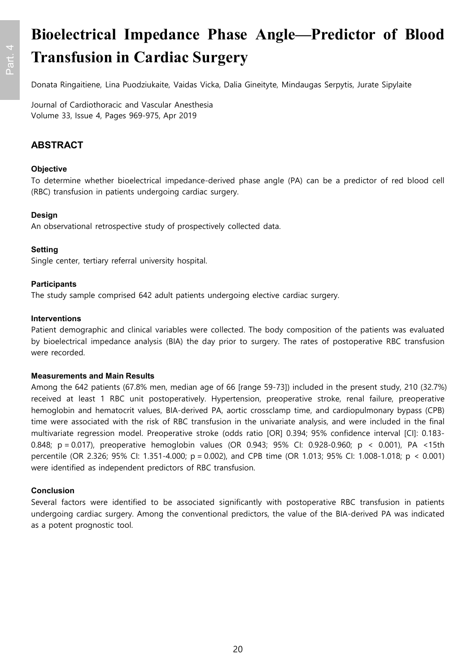# **Bioelectrical Impedance Phase Angle—Predictor of Blood Transfusion in Cardiac Surgery**

Donata Ringaitiene, Lina Puodziukaite, Vaidas Vicka, Dalia Gineityte, Mindaugas Serpytis, Jurate Sipylaite

Journal of Cardiothoracic and Vascular Anesthesia Volume 33, Issue 4, Pages 969-975, Apr 2019

### **ABSTRACT**

### **Objective**

To determine whether bioelectrical impedance-derived phase angle (PA) can be a predictor of red blood cell (RBC) transfusion in patients undergoing cardiac surgery.

### **Design**

An observational retrospective study of prospectively collected data.

### **Setting**

Single center, tertiary referral university hospital.

### **Participants**

The study sample comprised 642 adult patients undergoing elective cardiac surgery.

#### **Interventions**

Patient demographic and clinical variables were collected. The body composition of the patients was evaluated by bioelectrical impedance analysis (BIA) the day prior to surgery. The rates of postoperative RBC transfusion were recorded.

#### **Measurements and Main Results**

Among the 642 patients (67.8% men, median age of 66 [range 59-73]) included in the present study, 210 (32.7%) received at least 1 RBC unit postoperatively. Hypertension, preoperative stroke, renal failure, preoperative hemoglobin and hematocrit values, BIA-derived PA, aortic crossclamp time, and cardiopulmonary bypass (CPB) time were associated with the risk of RBC transfusion in the univariate analysis, and were included in the final multivariate regression model. Preoperative stroke (odds ratio [OR] 0.394; 95% confidence interval [CI]: 0.183- 0.848; p = 0.017), preoperative hemoglobin values (OR 0.943; 95% CI: 0.928-0.960; p < 0.001), PA <15th percentile (OR 2.326; 95% CI: 1.351-4.000; p = 0.002), and CPB time (OR 1.013; 95% CI: 1.008-1.018; p < 0.001) were identified as independent predictors of RBC transfusion.

### **Conclusion**

Several factors were identified to be associated significantly with postoperative RBC transfusion in patients undergoing cardiac surgery. Among the conventional predictors, the value of the BIA-derived PA was indicated as a potent prognostic tool.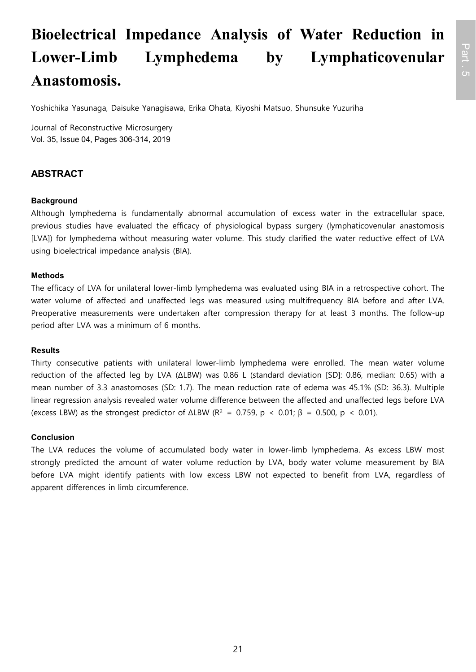# **Bioelectrical Impedance Analysis of Water Reduction in Lower-Limb Lymphedema by Lymphaticovenular Anastomosis.**

Yoshichika Yasunaga, Daisuke Yanagisawa, Erika Ohata, Kiyoshi Matsuo, Shunsuke Yuzuriha

Journal of Reconstructive Microsurgery Vol. 35, Issue 04, Pages 306-314, 2019

### **ABSTRACT**

### **Background**

Although lymphedema is fundamentally abnormal accumulation of excess water in the extracellular space, previous studies have evaluated the efficacy of physiological bypass surgery (lymphaticovenular anastomosis [LVA]) for lymphedema without measuring water volume. This study clarified the water reductive effect of LVA using bioelectrical impedance analysis (BIA).

### **Methods**

The efficacy of LVA for unilateral lower-limb lymphedema was evaluated using BIA in a retrospective cohort. The water volume of affected and unaffected legs was measured using multifrequency BIA before and after LVA. Preoperative measurements were undertaken after compression therapy for at least 3 months. The follow-up period after LVA was a minimum of 6 months.

### **Results**

Thirty consecutive patients with unilateral lower-limb lymphedema were enrolled. The mean water volume reduction of the affected leg by LVA (ΔLBW) was 0.86 L (standard deviation [SD]: 0.86, median: 0.65) with a mean number of 3.3 anastomoses (SD: 1.7). The mean reduction rate of edema was 45.1% (SD: 36.3). Multiple linear regression analysis revealed water volume difference between the affected and unaffected legs before LVA (excess LBW) as the strongest predictor of  $\Delta$ LBW (R<sup>2</sup> = 0.759, p < 0.01;  $\beta$  = 0.500, p < 0.01).

### **Conclusion**

The LVA reduces the volume of accumulated body water in lower-limb lymphedema. As excess LBW most strongly predicted the amount of water volume reduction by LVA, body water volume measurement by BIA before LVA might identify patients with low excess LBW not expected to benefit from LVA, regardless of apparent differences in limb circumference.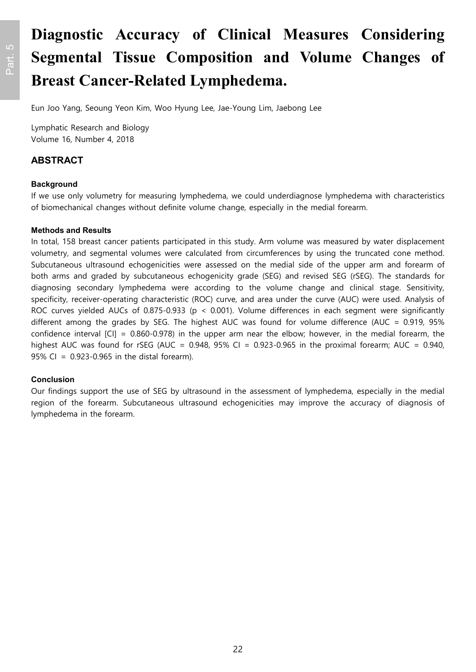# **Diagnostic Accuracy of Clinical Measures Considering Segmental Tissue Composition and Volume Changes of Breast Cancer-Related Lymphedema.**

Eun Joo Yang, Seoung Yeon Kim, Woo Hyung Lee, Jae-Young Lim, Jaebong Lee

Lymphatic Research and Biology Volume 16, Number 4, 2018

### **ABSTRACT**

### **Background**

If we use only volumetry for measuring lymphedema, we could underdiagnose lymphedema with characteristics of biomechanical changes without definite volume change, especially in the medial forearm.

#### **Methods and Results**

In total, 158 breast cancer patients participated in this study. Arm volume was measured by water displacement volumetry, and segmental volumes were calculated from circumferences by using the truncated cone method. Subcutaneous ultrasound echogenicities were assessed on the medial side of the upper arm and forearm of both arms and graded by subcutaneous echogenicity grade (SEG) and revised SEG (rSEG). The standards for diagnosing secondary lymphedema were according to the volume change and clinical stage. Sensitivity, specificity, receiver-operating characteristic (ROC) curve, and area under the curve (AUC) were used. Analysis of ROC curves yielded AUCs of 0.875-0.933 (p < 0.001). Volume differences in each segment were significantly different among the grades by SEG. The highest AUC was found for volume difference (AUC = 0.919, 95% confidence interval [CI] = 0.860-0.978) in the upper arm near the elbow; however, in the medial forearm, the highest AUC was found for rSEG (AUC =  $0.948$ , 95% CI =  $0.923-0.965$  in the proximal forearm; AUC =  $0.940$ , 95% CI = 0.923-0.965 in the distal forearm).

### **Conclusion**

Our findings support the use of SEG by ultrasound in the assessment of lymphedema, especially in the medial region of the forearm. Subcutaneous ultrasound echogenicities may improve the accuracy of diagnosis of lymphedema in the forearm.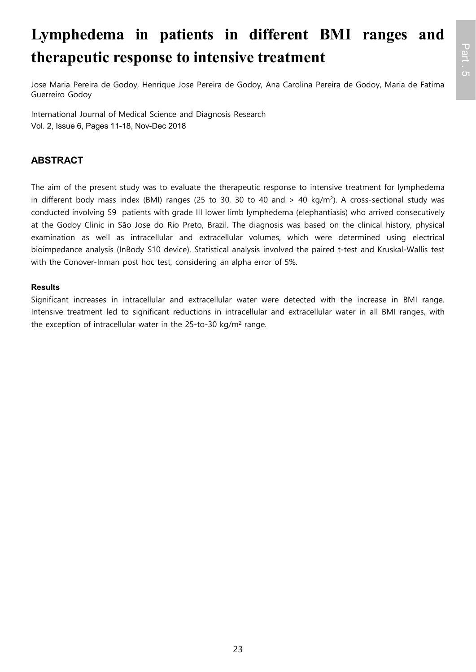# **Lymphedema in patients in different BMI ranges and therapeutic response to intensive treatment**

Jose Maria Pereira de Godoy, Henrique Jose Pereira de Godoy, Ana Carolina Pereira de Godoy, Maria de Fatima Guerreiro Godoy

International Journal of Medical Science and Diagnosis Research Vol. 2, Issue 6, Pages 11-18, Nov-Dec 2018

### **ABSTRACT**

The aim of the present study was to evaluate the therapeutic response to intensive treatment for lymphedema in different body mass index (BMI) ranges (25 to 30, 30 to 40 and > 40 kg/m<sup>2</sup> ). A cross-sectional study was conducted involving 59 patients with grade III lower limb lymphedema (elephantiasis) who arrived consecutively at the Godoy Clinic in São Jose do Rio Preto, Brazil. The diagnosis was based on the clinical history, physical examination as well as intracellular and extracellular volumes, which were determined using electrical bioimpedance analysis (InBody S10 device). Statistical analysis involved the paired t-test and Kruskal-Wallis test with the Conover-Inman post hoc test, considering an alpha error of 5%.

### **Results**

Significant increases in intracellular and extracellular water were detected with the increase in BMI range. Intensive treatment led to significant reductions in intracellular and extracellular water in all BMI ranges, with the exception of intracellular water in the 25-to-30 kg/m<sup>2</sup> range.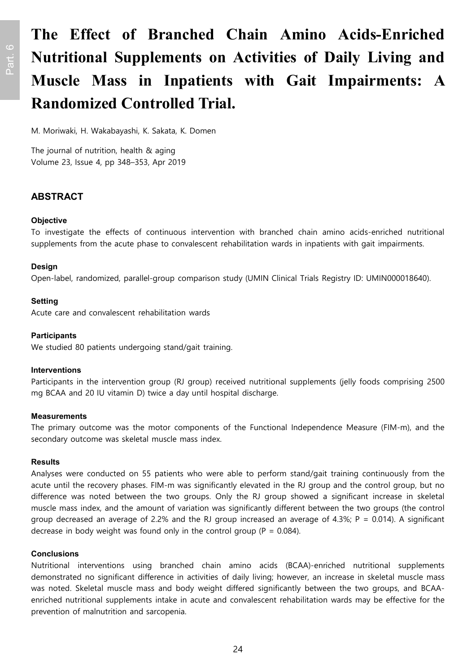# **The Effect of Branched Chain Amino Acids-Enriched Nutritional Supplements on Activities of Daily Living and Muscle Mass in Inpatients with Gait Impairments: A Randomized Controlled Trial.**

M. Moriwaki, H. Wakabayashi, K. Sakata, K. Domen

The journal of nutrition, health & aging Volume 23, Issue 4, pp 348–353, Apr 2019

### **ABSTRACT**

### **Objective**

To investigate the effects of continuous intervention with branched chain amino acids-enriched nutritional supplements from the acute phase to convalescent rehabilitation wards in inpatients with gait impairments.

### **Design**

Open-label, randomized, parallel-group comparison study (UMIN Clinical Trials Registry ID: UMIN000018640).

### **Setting**

Acute care and convalescent rehabilitation wards

### **Participants**

We studied 80 patients undergoing stand/gait training.

#### **Interventions**

Participants in the intervention group (RJ group) received nutritional supplements (jelly foods comprising 2500 mg BCAA and 20 IU vitamin D) twice a day until hospital discharge.

#### **Measurements**

The primary outcome was the motor components of the Functional Independence Measure (FIM-m), and the secondary outcome was skeletal muscle mass index.

#### **Results**

Analyses were conducted on 55 patients who were able to perform stand/gait training continuously from the acute until the recovery phases. FIM-m was significantly elevated in the RJ group and the control group, but no difference was noted between the two groups. Only the RJ group showed a significant increase in skeletal muscle mass index, and the amount of variation was significantly different between the two groups (the control group decreased an average of 2.2% and the RJ group increased an average of 4.3%; P = 0.014). A significant decrease in body weight was found only in the control group ( $P = 0.084$ ).

### **Conclusions**

Nutritional interventions using branched chain amino acids (BCAA)-enriched nutritional supplements demonstrated no significant difference in activities of daily living; however, an increase in skeletal muscle mass was noted. Skeletal muscle mass and body weight differed significantly between the two groups, and BCAAenriched nutritional supplements intake in acute and convalescent rehabilitation wards may be effective for the prevention of malnutrition and sarcopenia.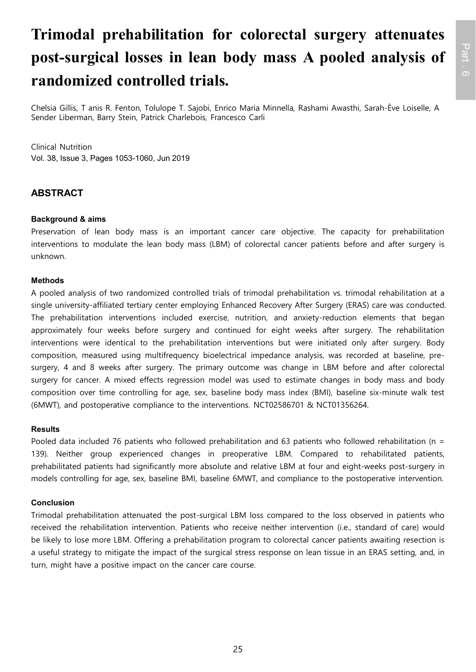# **Trimodal prehabilitation for colorectal surgery attenuates post-surgical losses in lean body mass A pooled analysis of randomized controlled trials.**

Chelsia Gillis, T anis R. Fenton, Tolulope T. Sajobi, Enrico Maria Minnella, Rashami Awasthi, Sarah-Ève Loiselle, A Sender Liberman, Barry Stein, Patrick Charlebois, Francesco Carli

Clinical Nutrition Vol. 38, Issue 3, Pages 1053-1060, Jun 2019

### **ABSTRACT**

### **Background & aims**

Preservation of lean body mass is an important cancer care objective. The capacity for prehabilitation interventions to modulate the lean body mass (LBM) of colorectal cancer patients before and after surgery is unknown.

### **Methods**

A pooled analysis of two randomized controlled trials of trimodal prehabilitation vs. trimodal rehabilitation at a single university-affiliated tertiary center employing Enhanced Recovery After Surgery (ERAS) care was conducted. The prehabilitation interventions included exercise, nutrition, and anxiety-reduction elements that began approximately four weeks before surgery and continued for eight weeks after surgery. The rehabilitation interventions were identical to the prehabilitation interventions but were initiated only after surgery. Body composition, measured using multifrequency bioelectrical impedance analysis, was recorded at baseline, presurgery, 4 and 8 weeks after surgery. The primary outcome was change in LBM before and after colorectal surgery for cancer. A mixed effects regression model was used to estimate changes in body mass and body composition over time controlling for age, sex, baseline body mass index (BMI), baseline six-minute walk test (6MWT), and postoperative compliance to the interventions. NCT02586701 & NCT01356264.

#### **Results**

Pooled data included 76 patients who followed prehabilitation and 63 patients who followed rehabilitation (n = 139). Neither group experienced changes in preoperative LBM. Compared to rehabilitated patients, prehabilitated patients had significantly more absolute and relative LBM at four and eight-weeks post-surgery in models controlling for age, sex, baseline BMI, baseline 6MWT, and compliance to the postoperative intervention.

### **Conclusion**

Trimodal prehabilitation attenuated the post-surgical LBM loss compared to the loss observed in patients who received the rehabilitation intervention. Patients who receive neither intervention (i.e., standard of care) would be likely to lose more LBM. Offering a prehabilitation program to colorectal cancer patients awaiting resection is a useful strategy to mitigate the impact of the surgical stress response on lean tissue in an ERAS setting, and, in turn, might have a positive impact on the cancer care course.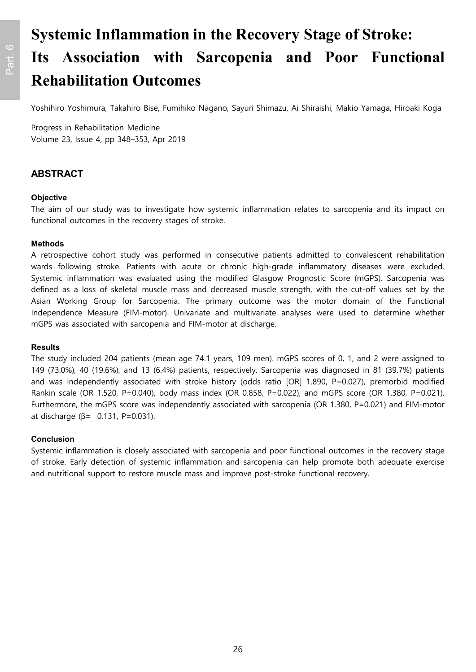# **Systemic Inflammation in the Recovery Stage of Stroke: Its Association with Sarcopenia and Poor Functional Rehabilitation Outcomes**

Yoshihiro Yoshimura, Takahiro Bise, Fumihiko Nagano, Sayuri Shimazu, Ai Shiraishi, Makio Yamaga, Hiroaki Koga

Progress in Rehabilitation Medicine Volume 23, Issue 4, pp 348–353, Apr 2019

### **ABSTRACT**

### **Objective**

The aim of our study was to investigate how systemic inflammation relates to sarcopenia and its impact on functional outcomes in the recovery stages of stroke.

### **Methods**

A retrospective cohort study was performed in consecutive patients admitted to convalescent rehabilitation wards following stroke. Patients with acute or chronic high-grade inflammatory diseases were excluded. Systemic inflammation was evaluated using the modified Glasgow Prognostic Score (mGPS). Sarcopenia was defined as a loss of skeletal muscle mass and decreased muscle strength, with the cut-off values set by the Asian Working Group for Sarcopenia. The primary outcome was the motor domain of the Functional Independence Measure (FIM-motor). Univariate and multivariate analyses were used to determine whether mGPS was associated with sarcopenia and FIM-motor at discharge.

#### **Results**

The study included 204 patients (mean age 74.1 years, 109 men). mGPS scores of 0, 1, and 2 were assigned to 149 (73.0%), 40 (19.6%), and 13 (6.4%) patients, respectively. Sarcopenia was diagnosed in 81 (39.7%) patients and was independently associated with stroke history (odds ratio [OR] 1.890, P=0.027), premorbid modified Rankin scale (OR 1.520, P=0.040), body mass index (OR 0.858, P=0.022), and mGPS score (OR 1.380, P=0.021). Furthermore, the mGPS score was independently associated with sarcopenia (OR 1.380, P=0.021) and FIM-motor at discharge ( $β = -0.131$ , P=0.031).

### **Conclusion**

Systemic inflammation is closely associated with sarcopenia and poor functional outcomes in the recovery stage of stroke. Early detection of systemic inflammation and sarcopenia can help promote both adequate exercise and nutritional support to restore muscle mass and improve post-stroke functional recovery.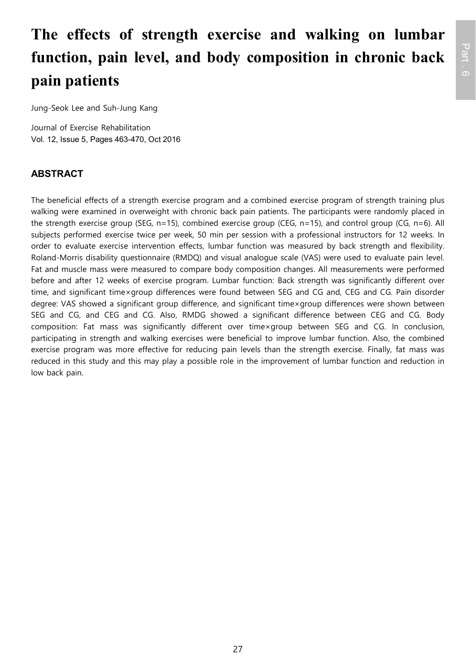# **The effects of strength exercise and walking on lumbar function, pain level, and body composition in chronic back pain patients**

Jung-Seok Lee and Suh-Jung Kang

Journal of Exercise Rehabilitation Vol. 12, Issue 5, Pages 463-470, Oct 2016

### **ABSTRACT**

The beneficial effects of a strength exercise program and a combined exercise program of strength training plus walking were examined in overweight with chronic back pain patients. The participants were randomly placed in the strength exercise group (SEG, n=15), combined exercise group (CEG, n=15), and control group (CG, n=6). All subjects performed exercise twice per week, 50 min per session with a professional instructors for 12 weeks. In order to evaluate exercise intervention effects, lumbar function was measured by back strength and flexibility. Roland-Morris disability questionnaire (RMDQ) and visual analogue scale (VAS) were used to evaluate pain level. Fat and muscle mass were measured to compare body composition changes. All measurements were performed before and after 12 weeks of exercise program. Lumbar function: Back strength was significantly different over time, and significant time×group differences were found between SEG and CG and, CEG and CG. Pain disorder degree: VAS showed a significant group difference, and significant time×group differences were shown between SEG and CG, and CEG and CG. Also, RMDG showed a significant difference between CEG and CG. Body composition: Fat mass was significantly different over time×group between SEG and CG. In conclusion, participating in strength and walking exercises were beneficial to improve lumbar function. Also, the combined exercise program was more effective for reducing pain levels than the strength exercise. Finally, fat mass was reduced in this study and this may play a possible role in the improvement of lumbar function and reduction in low back pain.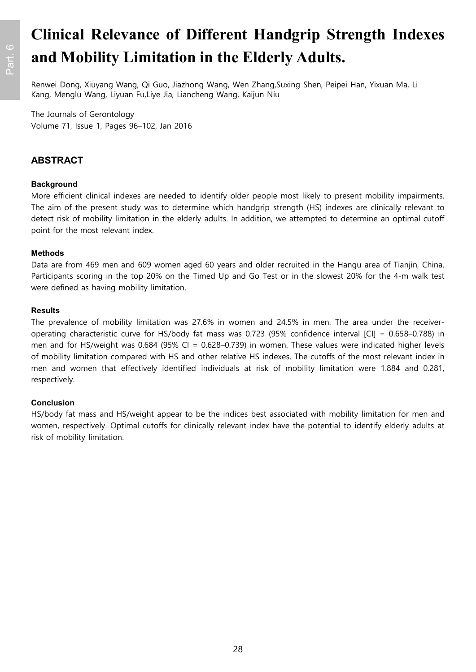# **Clinical Relevance of Different Handgrip Strength Indexes and Mobility Limitation in the Elderly Adults.**

Renwei Dong, Xiuyang Wang, Qi Guo, Jiazhong Wang, Wen Zhang,Suxing Shen, Peipei Han, Yixuan Ma, Li Kang, Menglu Wang, Liyuan Fu,Liye Jia, Liancheng Wang, Kaijun Niu

The Journals of Gerontology Volume 71, Issue 1, Pages 96–102, Jan 2016

### **ABSTRACT**

### **Background**

More efficient clinical indexes are needed to identify older people most likely to present mobility impairments. The aim of the present study was to determine which handgrip strength (HS) indexes are clinically relevant to detect risk of mobility limitation in the elderly adults. In addition, we attempted to determine an optimal cutoff point for the most relevant index.

### **Methods**

Data are from 469 men and 609 women aged 60 years and older recruited in the Hangu area of Tianjin, China. Participants scoring in the top 20% on the Timed Up and Go Test or in the slowest 20% for the 4-m walk test were defined as having mobility limitation.

#### **Results**

The prevalence of mobility limitation was 27.6% in women and 24.5% in men. The area under the receiveroperating characteristic curve for HS/body fat mass was 0.723 (95% confidence interval [CI] = 0.658–0.788) in men and for HS/weight was 0.684 (95% CI = 0.628–0.739) in women. These values were indicated higher levels of mobility limitation compared with HS and other relative HS indexes. The cutoffs of the most relevant index in men and women that effectively identified individuals at risk of mobility limitation were 1.884 and 0.281, respectively.

### **Conclusion**

HS/body fat mass and HS/weight appear to be the indices best associated with mobility limitation for men and women, respectively. Optimal cutoffs for clinically relevant index have the potential to identify elderly adults at risk of mobility limitation.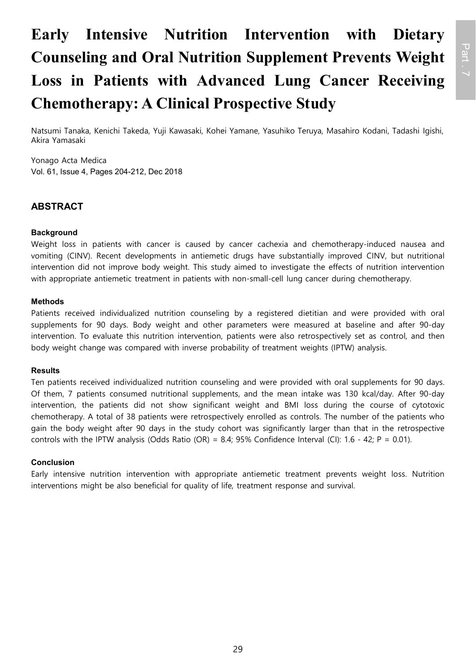# **Early Intensive Nutrition Intervention with Dietary Counseling and Oral Nutrition Supplement Prevents Weight Loss in Patients with Advanced Lung Cancer Receiving Chemotherapy: A Clinical Prospective Study**

Natsumi Tanaka, Kenichi Takeda, Yuji Kawasaki, Kohei Yamane, Yasuhiko Teruya, Masahiro Kodani, Tadashi Igishi, Akira Yamasaki

Yonago Acta Medica Vol. 61, Issue 4, Pages 204-212, Dec 2018

### **ABSTRACT**

### **Background**

Weight loss in patients with cancer is caused by cancer cachexia and chemotherapy-induced nausea and vomiting (CINV). Recent developments in antiemetic drugs have substantially improved CINV, but nutritional intervention did not improve body weight. This study aimed to investigate the effects of nutrition intervention with appropriate antiemetic treatment in patients with non-small-cell lung cancer during chemotherapy.

### **Methods**

Patients received individualized nutrition counseling by a registered dietitian and were provided with oral supplements for 90 days. Body weight and other parameters were measured at baseline and after 90-day intervention. To evaluate this nutrition intervention, patients were also retrospectively set as control, and then body weight change was compared with inverse probability of treatment weights (IPTW) analysis.

### **Results**

Ten patients received individualized nutrition counseling and were provided with oral supplements for 90 days. Of them, 7 patients consumed nutritional supplements, and the mean intake was 130 kcal/day. After 90-day intervention, the patients did not show significant weight and BMI loss during the course of cytotoxic chemotherapy. A total of 38 patients were retrospectively enrolled as controls. The number of the patients who gain the body weight after 90 days in the study cohort was significantly larger than that in the retrospective controls with the IPTW analysis (Odds Ratio (OR) = 8.4; 95% Confidence Interval (CI): 1.6 - 42; P = 0.01).

### **Conclusion**

Early intensive nutrition intervention with appropriate antiemetic treatment prevents weight loss. Nutrition interventions might be also beneficial for quality of life, treatment response and survival.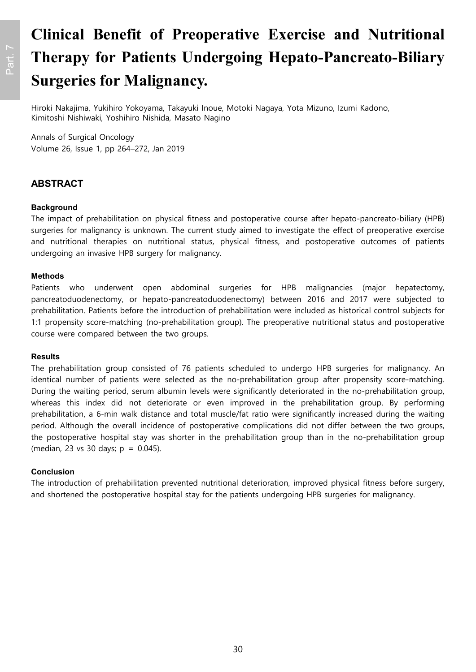# **Clinical Benefit of Preoperative Exercise and Nutritional Therapy for Patients Undergoing Hepato-Pancreato-Biliary Surgeries for Malignancy.**

Hiroki Nakajima, Yukihiro Yokoyama, Takayuki Inoue, Motoki Nagaya, Yota Mizuno, Izumi Kadono, Kimitoshi Nishiwaki, Yoshihiro Nishida, Masato Nagino

Annals of Surgical Oncology Volume 26, Issue 1, pp 264–272, Jan 2019

### **ABSTRACT**

### **Background**

The impact of prehabilitation on physical fitness and postoperative course after hepato-pancreato-biliary (HPB) surgeries for malignancy is unknown. The current study aimed to investigate the effect of preoperative exercise and nutritional therapies on nutritional status, physical fitness, and postoperative outcomes of patients undergoing an invasive HPB surgery for malignancy.

#### **Methods**

Patients who underwent open abdominal surgeries for HPB malignancies (major hepatectomy, pancreatoduodenectomy, or hepato-pancreatoduodenectomy) between 2016 and 2017 were subjected to prehabilitation. Patients before the introduction of prehabilitation were included as historical control subjects for 1:1 propensity score-matching (no-prehabilitation group). The preoperative nutritional status and postoperative course were compared between the two groups.

#### **Results**

The prehabilitation group consisted of 76 patients scheduled to undergo HPB surgeries for malignancy. An identical number of patients were selected as the no-prehabilitation group after propensity score-matching. During the waiting period, serum albumin levels were significantly deteriorated in the no-prehabilitation group, whereas this index did not deteriorate or even improved in the prehabilitation group. By performing prehabilitation, a 6-min walk distance and total muscle/fat ratio were significantly increased during the waiting period. Although the overall incidence of postoperative complications did not differ between the two groups, the postoperative hospital stay was shorter in the prehabilitation group than in the no-prehabilitation group (median, 23 vs 30 days;  $p = 0.045$ ).

#### **Conclusion**

The introduction of prehabilitation prevented nutritional deterioration, improved physical fitness before surgery, and shortened the postoperative hospital stay for the patients undergoing HPB surgeries for malignancy.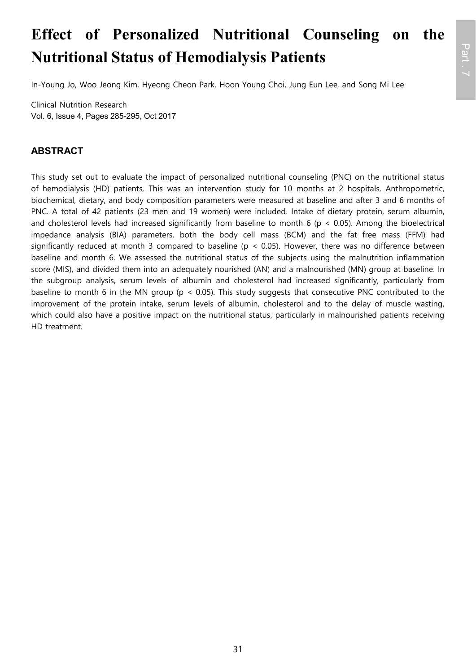# **Effect of Personalized Nutritional Counseling on the Nutritional Status of Hemodialysis Patients**

Part . 7

In-Young Jo, Woo Jeong Kim, Hyeong Cheon Park, Hoon Young Choi, Jung Eun Lee, and Song Mi Lee

Clinical Nutrition Research Vol. 6, Issue 4, Pages 285-295, Oct 2017

### **ABSTRACT**

This study set out to evaluate the impact of personalized nutritional counseling (PNC) on the nutritional status of hemodialysis (HD) patients. This was an intervention study for 10 months at 2 hospitals. Anthropometric, biochemical, dietary, and body composition parameters were measured at baseline and after 3 and 6 months of PNC. A total of 42 patients (23 men and 19 women) were included. Intake of dietary protein, serum albumin, and cholesterol levels had increased significantly from baseline to month 6 ( $p < 0.05$ ). Among the bioelectrical impedance analysis (BIA) parameters, both the body cell mass (BCM) and the fat free mass (FFM) had significantly reduced at month 3 compared to baseline ( $p < 0.05$ ). However, there was no difference between baseline and month 6. We assessed the nutritional status of the subjects using the malnutrition inflammation score (MIS), and divided them into an adequately nourished (AN) and a malnourished (MN) group at baseline. In the subgroup analysis, serum levels of albumin and cholesterol had increased significantly, particularly from baseline to month 6 in the MN group (p < 0.05). This study suggests that consecutive PNC contributed to the improvement of the protein intake, serum levels of albumin, cholesterol and to the delay of muscle wasting, which could also have a positive impact on the nutritional status, particularly in malnourished patients receiving HD treatment.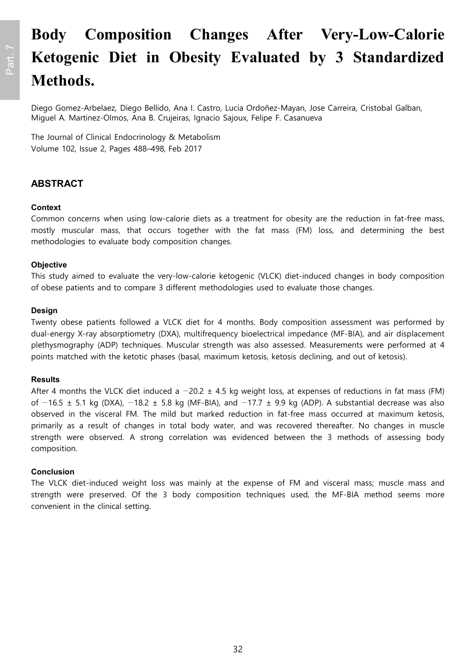# **Body Composition Changes After Very-Low-Calorie Ketogenic Diet in Obesity Evaluated by 3 Standardized Methods.**

Diego Gomez-Arbelaez, Diego Bellido, Ana I. Castro, Lucia Ordoñez-Mayan, Jose Carreira, Cristobal Galban, Miguel A. Martinez-Olmos, Ana B. Crujeiras, Ignacio Sajoux, Felipe F. Casanueva

The Journal of Clinical Endocrinology & Metabolism Volume 102, Issue 2, Pages 488–498, Feb 2017

### **ABSTRACT**

### **Context**

Common concerns when using low-calorie diets as a treatment for obesity are the reduction in fat-free mass, mostly muscular mass, that occurs together with the fat mass (FM) loss, and determining the best methodologies to evaluate body composition changes.

### **Objective**

This study aimed to evaluate the very-low-calorie ketogenic (VLCK) diet-induced changes in body composition of obese patients and to compare 3 different methodologies used to evaluate those changes.

#### **Design**

Twenty obese patients followed a VLCK diet for 4 months. Body composition assessment was performed by dual-energy X-ray absorptiometry (DXA), multifrequency bioelectrical impedance (MF-BIA), and air displacement plethysmography (ADP) techniques. Muscular strength was also assessed. Measurements were performed at 4 points matched with the ketotic phases (basal, maximum ketosis, ketosis declining, and out of ketosis).

#### **Results**

After 4 months the VLCK diet induced a  $-20.2 \pm 4.5$  kg weight loss, at expenses of reductions in fat mass (FM) of  $-16.5 \pm 5.1$  kg (DXA),  $-18.2 \pm 5.8$  kg (MF-BIA), and  $-17.7 \pm 9.9$  kg (ADP). A substantial decrease was also observed in the visceral FM. The mild but marked reduction in fat-free mass occurred at maximum ketosis, primarily as a result of changes in total body water, and was recovered thereafter. No changes in muscle strength were observed. A strong correlation was evidenced between the 3 methods of assessing body composition.

### **Conclusion**

The VLCK diet-induced weight loss was mainly at the expense of FM and visceral mass; muscle mass and strength were preserved. Of the 3 body composition techniques used, the MF-BIA method seems more convenient in the clinical setting.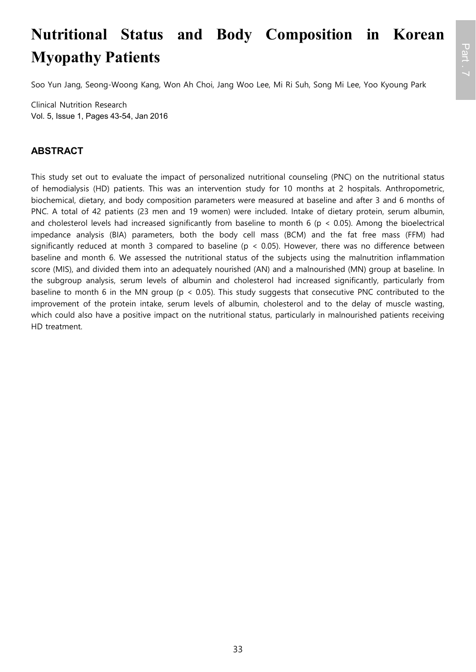# **Nutritional Status and Body Composition in Korean Myopathy Patients**

Soo Yun Jang, Seong-Woong Kang, Won Ah Choi, Jang Woo Lee, Mi Ri Suh, Song Mi Lee, Yoo Kyoung Park

Clinical Nutrition Research Vol. 5, Issue 1, Pages 43-54, Jan 2016

### **ABSTRACT**

This study set out to evaluate the impact of personalized nutritional counseling (PNC) on the nutritional status of hemodialysis (HD) patients. This was an intervention study for 10 months at 2 hospitals. Anthropometric, biochemical, dietary, and body composition parameters were measured at baseline and after 3 and 6 months of PNC. A total of 42 patients (23 men and 19 women) were included. Intake of dietary protein, serum albumin, and cholesterol levels had increased significantly from baseline to month 6 ( $p < 0.05$ ). Among the bioelectrical impedance analysis (BIA) parameters, both the body cell mass (BCM) and the fat free mass (FFM) had significantly reduced at month 3 compared to baseline ( $p < 0.05$ ). However, there was no difference between baseline and month 6. We assessed the nutritional status of the subjects using the malnutrition inflammation score (MIS), and divided them into an adequately nourished (AN) and a malnourished (MN) group at baseline. In the subgroup analysis, serum levels of albumin and cholesterol had increased significantly, particularly from baseline to month 6 in the MN group (p < 0.05). This study suggests that consecutive PNC contributed to the improvement of the protein intake, serum levels of albumin, cholesterol and to the delay of muscle wasting, which could also have a positive impact on the nutritional status, particularly in malnourished patients receiving HD treatment.

33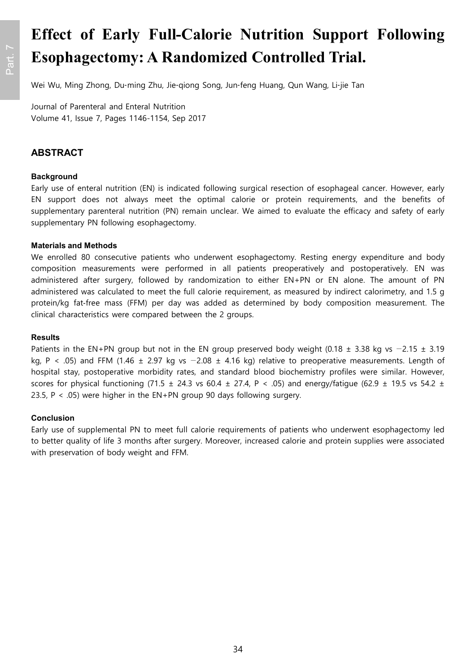# **Effect of Early Full-Calorie Nutrition Support Following Esophagectomy: A Randomized Controlled Trial.**

Wei Wu, Ming Zhong, Du‐ming Zhu, Jie‐qiong Song, Jun‐feng Huang, Qun Wang, Li‐jie Tan

Journal of Parenteral and Enteral Nutrition Volume 41, Issue 7, Pages 1146-1154, Sep 2017

### **ABSTRACT**

#### **Background**

Early use of enteral nutrition (EN) is indicated following surgical resection of esophageal cancer. However, early EN support does not always meet the optimal calorie or protein requirements, and the benefits of supplementary parenteral nutrition (PN) remain unclear. We aimed to evaluate the efficacy and safety of early supplementary PN following esophagectomy.

#### **Materials and Methods**

We enrolled 80 consecutive patients who underwent esophagectomy. Resting energy expenditure and body composition measurements were performed in all patients preoperatively and postoperatively. EN was administered after surgery, followed by randomization to either EN+PN or EN alone. The amount of PN administered was calculated to meet the full calorie requirement, as measured by indirect calorimetry, and 1.5 g protein/kg fat-free mass (FFM) per day was added as determined by body composition measurement. The clinical characteristics were compared between the 2 groups.

#### **Results**

Patients in the EN+PN group but not in the EN group preserved body weight (0.18 ± 3.38 kg vs -2.15 ± 3.19 kg, P < .05) and FFM (1.46  $\pm$  2.97 kg vs  $-2.08 \pm 4.16$  kg) relative to preoperative measurements. Length of hospital stay, postoperative morbidity rates, and standard blood biochemistry profiles were similar. However, scores for physical functioning (71.5  $\pm$  24.3 vs 60.4  $\pm$  27.4, P < .05) and energy/fatigue (62.9  $\pm$  19.5 vs 54.2  $\pm$ 23.5,  $P < .05$ ) were higher in the EN+PN group 90 days following surgery.

#### **Conclusion**

Early use of supplemental PN to meet full calorie requirements of patients who underwent esophagectomy led to better quality of life 3 months after surgery. Moreover, increased calorie and protein supplies were associated with preservation of body weight and FFM.